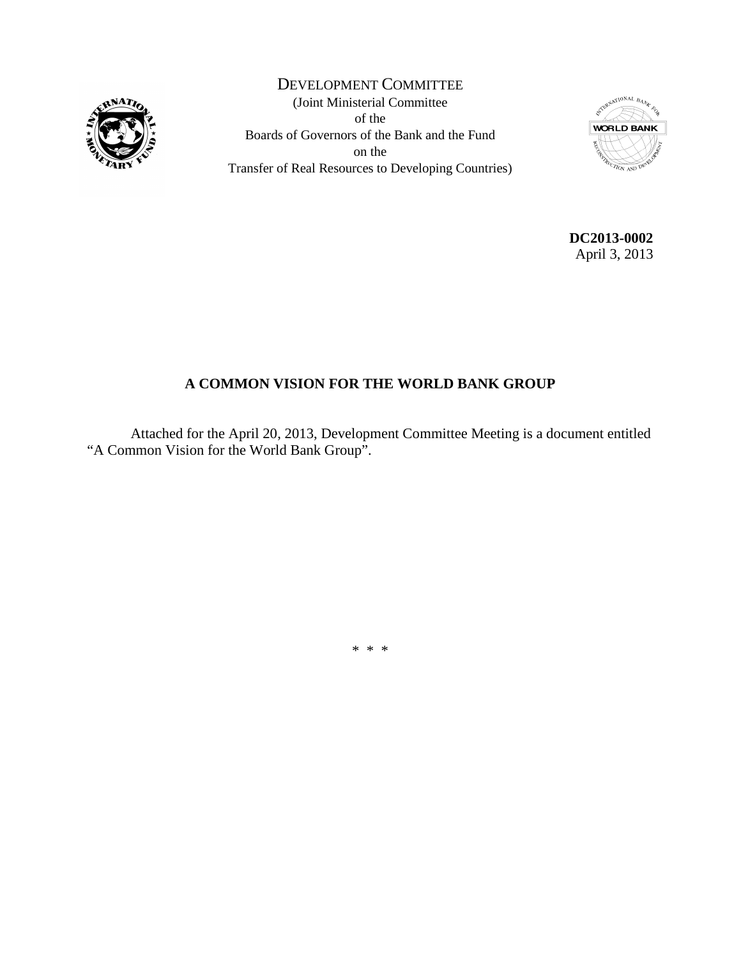

DEVELOPMENT COMMITTEE (Joint Ministerial Committee of the Boards of Governors of the Bank and the Fund on the Transfer of Real Resources to Developing Countries)



**DC2013-0002** April 3, 2013

## **A COMMON VISION FOR THE WORLD BANK GROUP**

Attached for the April 20, 2013, Development Committee Meeting is a document entitled "A Common Vision for the World Bank Group".

\* \* \*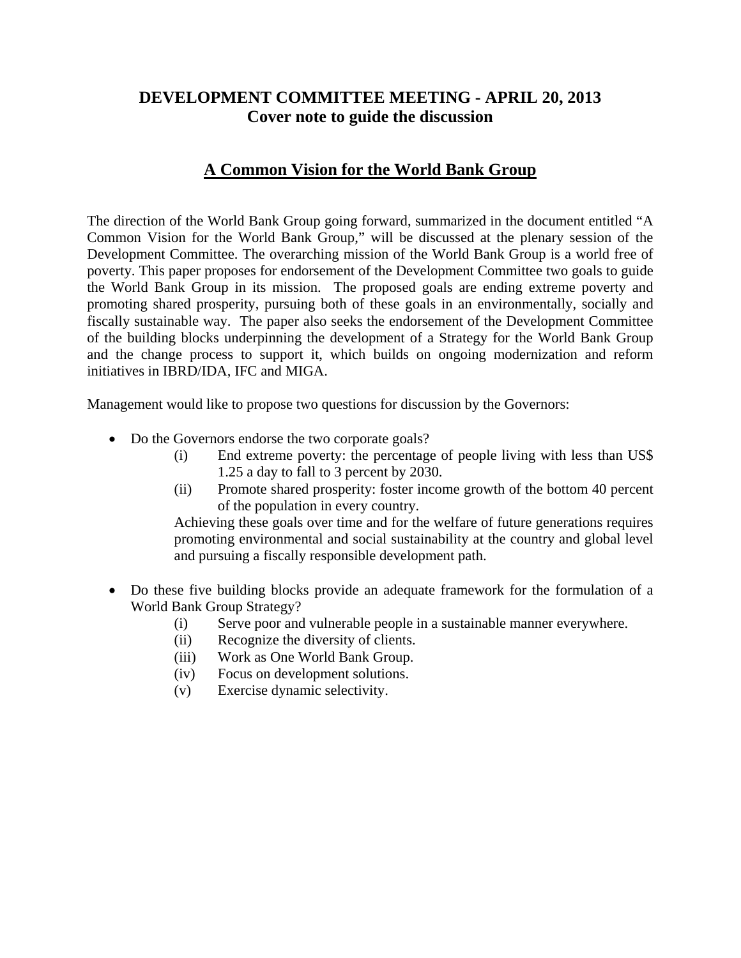## **DEVELOPMENT COMMITTEE MEETING - APRIL 20, 2013 Cover note to guide the discussion**

## **A Common Vision for the World Bank Group**

The direction of the World Bank Group going forward, summarized in the document entitled "A Common Vision for the World Bank Group," will be discussed at the plenary session of the Development Committee. The overarching mission of the World Bank Group is a world free of poverty. This paper proposes for endorsement of the Development Committee two goals to guide the World Bank Group in its mission. The proposed goals are ending extreme poverty and promoting shared prosperity, pursuing both of these goals in an environmentally, socially and fiscally sustainable way. The paper also seeks the endorsement of the Development Committee of the building blocks underpinning the development of a Strategy for the World Bank Group and the change process to support it, which builds on ongoing modernization and reform initiatives in IBRD/IDA, IFC and MIGA.

Management would like to propose two questions for discussion by the Governors:

- Do the Governors endorse the two corporate goals?
	- (i) End extreme poverty: the percentage of people living with less than US\$ 1.25 a day to fall to 3 percent by 2030.
	- (ii) Promote shared prosperity: foster income growth of the bottom 40 percent of the population in every country.

Achieving these goals over time and for the welfare of future generations requires promoting environmental and social sustainability at the country and global level and pursuing a fiscally responsible development path.

- Do these five building blocks provide an adequate framework for the formulation of a World Bank Group Strategy?
	- (i) Serve poor and vulnerable people in a sustainable manner everywhere.
	- (ii) Recognize the diversity of clients.
	- (iii) Work as One World Bank Group.
	- (iv) Focus on development solutions.
	- (v) Exercise dynamic selectivity.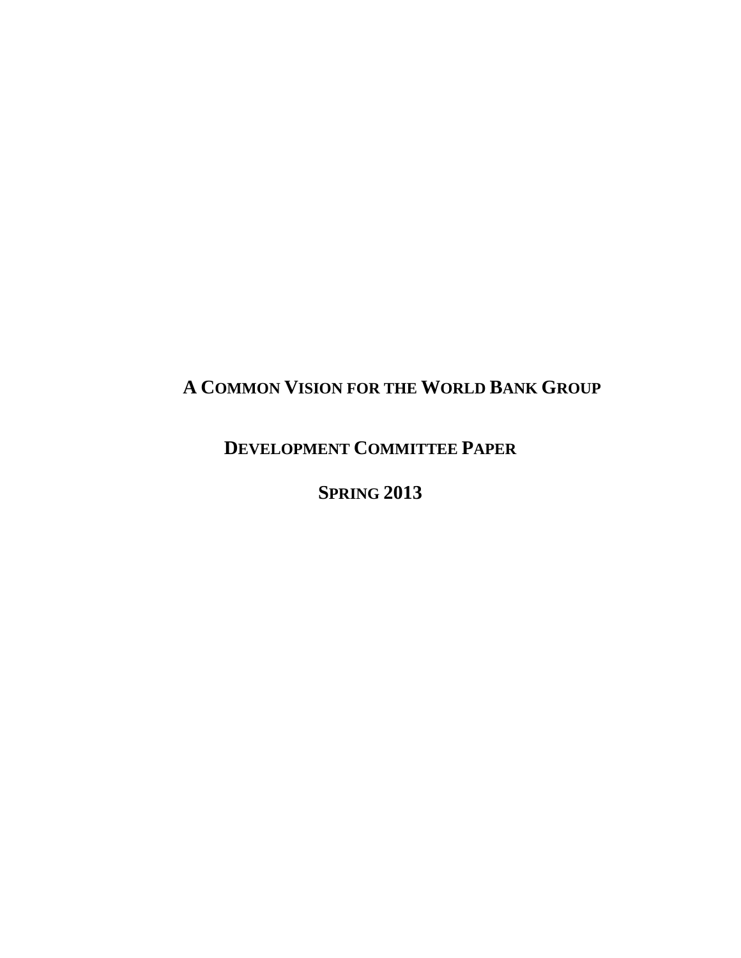## **A COMMON VISION FOR THE WORLD BANK GROUP**

**DEVELOPMENT COMMITTEE PAPER**

**SPRING 2013**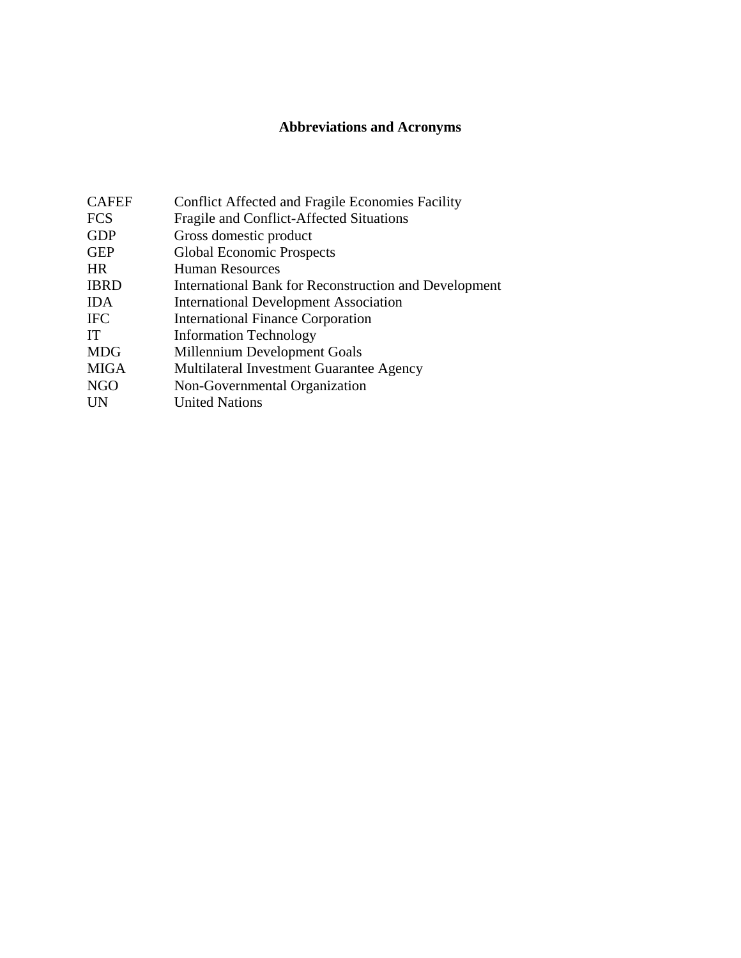## **Abbreviations and Acronyms**

| <b>CAFEF</b> | <b>Conflict Affected and Fragile Economies Facility</b> |
|--------------|---------------------------------------------------------|
| <b>FCS</b>   | Fragile and Conflict-Affected Situations                |
| <b>GDP</b>   | Gross domestic product                                  |
| <b>GEP</b>   | <b>Global Economic Prospects</b>                        |
| <b>HR</b>    | <b>Human Resources</b>                                  |
| <b>IBRD</b>  | International Bank for Reconstruction and Development   |
| <b>IDA</b>   | <b>International Development Association</b>            |
| <b>IFC</b>   | <b>International Finance Corporation</b>                |
| <b>IT</b>    | <b>Information Technology</b>                           |
| <b>MDG</b>   | Millennium Development Goals                            |
| <b>MIGA</b>  | Multilateral Investment Guarantee Agency                |
| <b>NGO</b>   | Non-Governmental Organization                           |
| UN           | <b>United Nations</b>                                   |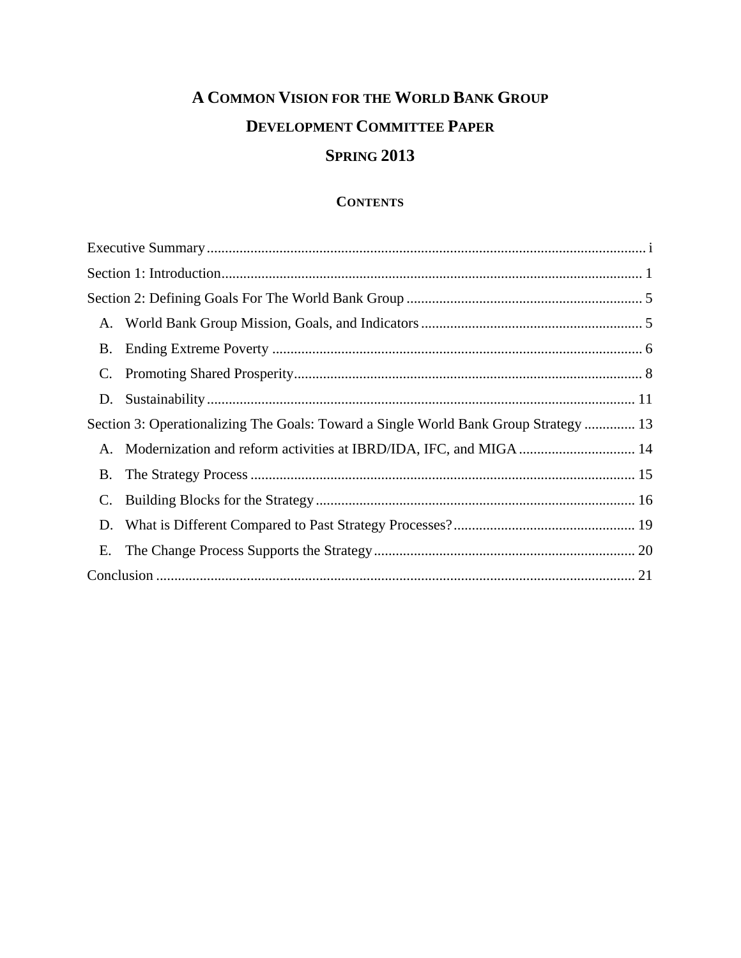# **A COMMON VISION FOR THE WORLD BANK GROUP DEVELOPMENT COMMITTEE PAPER SPRING 2013**

## **CONTENTS**

| B.                                                                                   |  |  |
|--------------------------------------------------------------------------------------|--|--|
| C.                                                                                   |  |  |
| D.                                                                                   |  |  |
| Section 3: Operationalizing The Goals: Toward a Single World Bank Group Strategy  13 |  |  |
| A.                                                                                   |  |  |
| Β.                                                                                   |  |  |
| C.                                                                                   |  |  |
| D.                                                                                   |  |  |
| Е.                                                                                   |  |  |
|                                                                                      |  |  |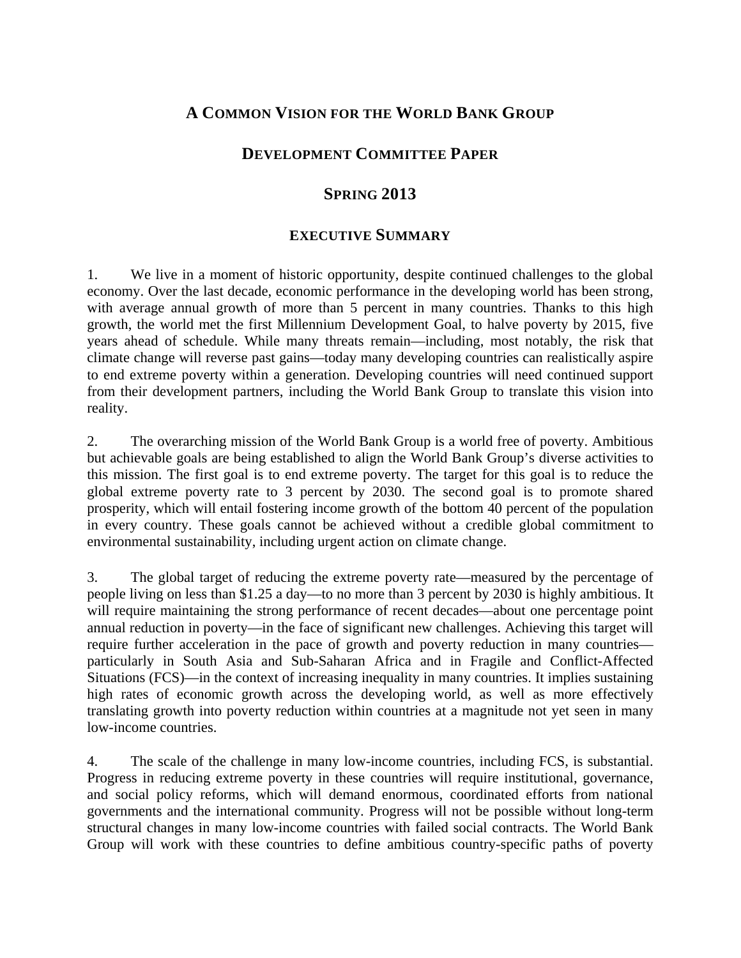## **A COMMON VISION FOR THE WORLD BANK GROUP**

## **DEVELOPMENT COMMITTEE PAPER**

## **SPRING 2013**

## **EXECUTIVE SUMMARY**

1. We live in a moment of historic opportunity, despite continued challenges to the global economy. Over the last decade, economic performance in the developing world has been strong, with average annual growth of more than 5 percent in many countries. Thanks to this high growth, the world met the first Millennium Development Goal, to halve poverty by 2015, five years ahead of schedule. While many threats remain—including, most notably, the risk that climate change will reverse past gains—today many developing countries can realistically aspire to end extreme poverty within a generation. Developing countries will need continued support from their development partners, including the World Bank Group to translate this vision into reality.

2. The overarching mission of the World Bank Group is a world free of poverty. Ambitious but achievable goals are being established to align the World Bank Group's diverse activities to this mission. The first goal is to end extreme poverty. The target for this goal is to reduce the global extreme poverty rate to 3 percent by 2030. The second goal is to promote shared prosperity, which will entail fostering income growth of the bottom 40 percent of the population in every country. These goals cannot be achieved without a credible global commitment to environmental sustainability, including urgent action on climate change.

3. The global target of reducing the extreme poverty rate—measured by the percentage of people living on less than \$1.25 a day—to no more than 3 percent by 2030 is highly ambitious. It will require maintaining the strong performance of recent decades—about one percentage point annual reduction in poverty—in the face of significant new challenges. Achieving this target will require further acceleration in the pace of growth and poverty reduction in many countries particularly in South Asia and Sub-Saharan Africa and in Fragile and Conflict-Affected Situations (FCS)—in the context of increasing inequality in many countries. It implies sustaining high rates of economic growth across the developing world, as well as more effectively translating growth into poverty reduction within countries at a magnitude not yet seen in many low-income countries.

4. The scale of the challenge in many low-income countries, including FCS, is substantial. Progress in reducing extreme poverty in these countries will require institutional, governance, and social policy reforms, which will demand enormous, coordinated efforts from national governments and the international community. Progress will not be possible without long-term structural changes in many low-income countries with failed social contracts. The World Bank Group will work with these countries to define ambitious country-specific paths of poverty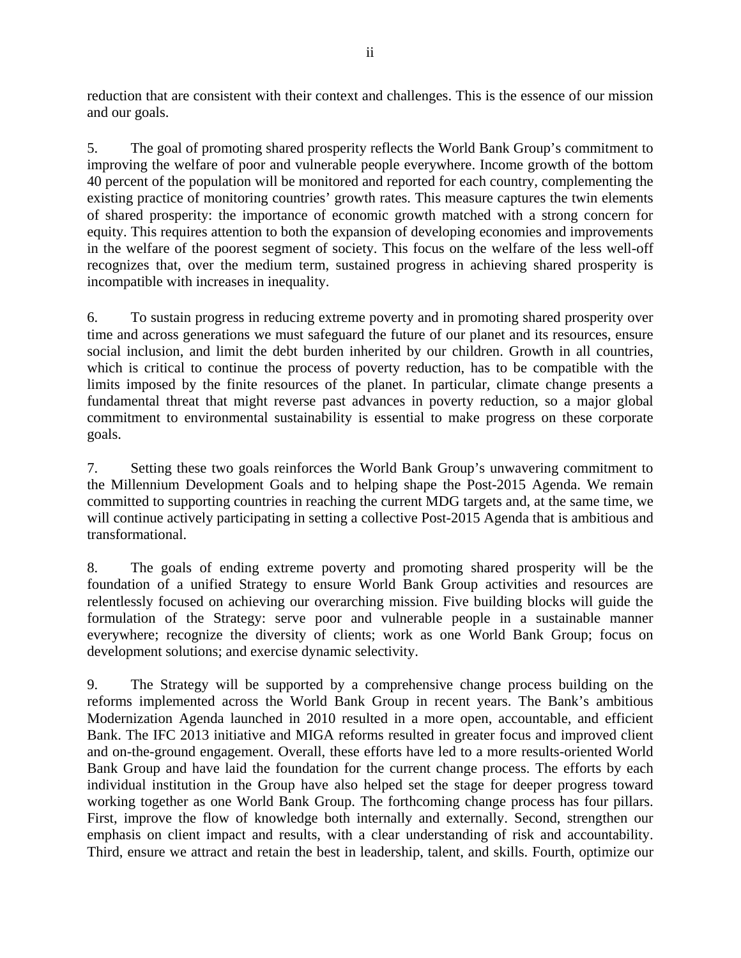reduction that are consistent with their context and challenges. This is the essence of our mission and our goals.

5. The goal of promoting shared prosperity reflects the World Bank Group's commitment to improving the welfare of poor and vulnerable people everywhere. Income growth of the bottom 40 percent of the population will be monitored and reported for each country, complementing the existing practice of monitoring countries' growth rates. This measure captures the twin elements of shared prosperity: the importance of economic growth matched with a strong concern for equity. This requires attention to both the expansion of developing economies and improvements in the welfare of the poorest segment of society. This focus on the welfare of the less well-off recognizes that, over the medium term, sustained progress in achieving shared prosperity is incompatible with increases in inequality.

6. To sustain progress in reducing extreme poverty and in promoting shared prosperity over time and across generations we must safeguard the future of our planet and its resources, ensure social inclusion, and limit the debt burden inherited by our children. Growth in all countries, which is critical to continue the process of poverty reduction, has to be compatible with the limits imposed by the finite resources of the planet. In particular, climate change presents a fundamental threat that might reverse past advances in poverty reduction, so a major global commitment to environmental sustainability is essential to make progress on these corporate goals.

7. Setting these two goals reinforces the World Bank Group's unwavering commitment to the Millennium Development Goals and to helping shape the Post-2015 Agenda. We remain committed to supporting countries in reaching the current MDG targets and, at the same time, we will continue actively participating in setting a collective Post-2015 Agenda that is ambitious and transformational.

8. The goals of ending extreme poverty and promoting shared prosperity will be the foundation of a unified Strategy to ensure World Bank Group activities and resources are relentlessly focused on achieving our overarching mission. Five building blocks will guide the formulation of the Strategy: serve poor and vulnerable people in a sustainable manner everywhere; recognize the diversity of clients; work as one World Bank Group; focus on development solutions; and exercise dynamic selectivity.

9. The Strategy will be supported by a comprehensive change process building on the reforms implemented across the World Bank Group in recent years. The Bank's ambitious Modernization Agenda launched in 2010 resulted in a more open, accountable, and efficient Bank. The IFC 2013 initiative and MIGA reforms resulted in greater focus and improved client and on-the-ground engagement. Overall, these efforts have led to a more results-oriented World Bank Group and have laid the foundation for the current change process. The efforts by each individual institution in the Group have also helped set the stage for deeper progress toward working together as one World Bank Group. The forthcoming change process has four pillars. First, improve the flow of knowledge both internally and externally. Second, strengthen our emphasis on client impact and results, with a clear understanding of risk and accountability. Third, ensure we attract and retain the best in leadership, talent, and skills. Fourth, optimize our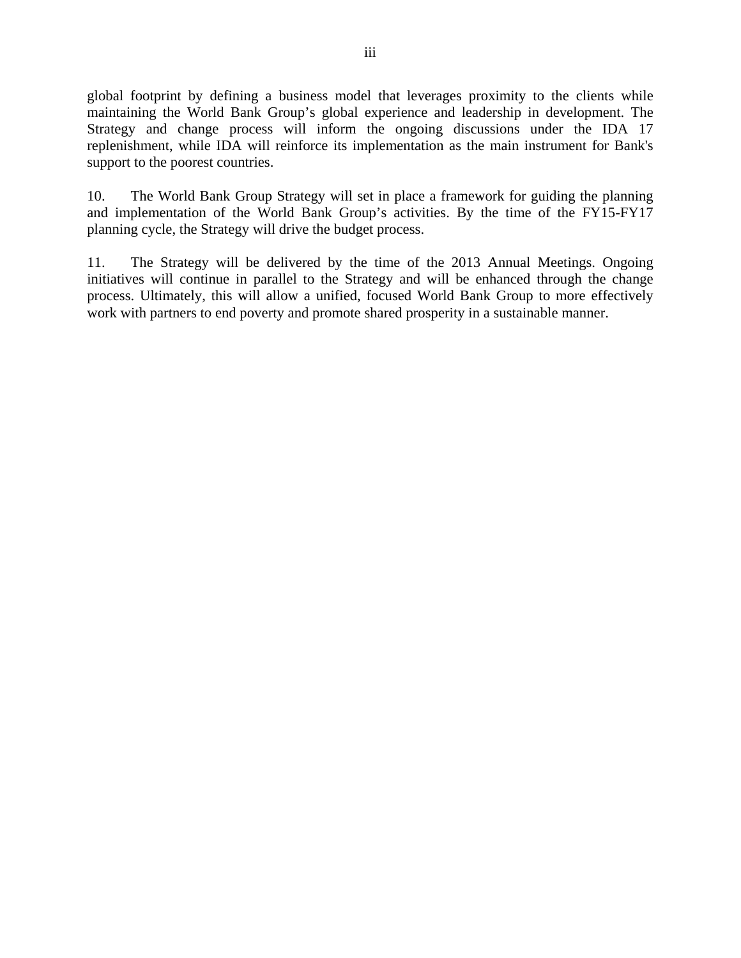global footprint by defining a business model that leverages proximity to the clients while maintaining the World Bank Group's global experience and leadership in development. The Strategy and change process will inform the ongoing discussions under the IDA 17 replenishment, while IDA will reinforce its implementation as the main instrument for Bank's support to the poorest countries.

10. The World Bank Group Strategy will set in place a framework for guiding the planning and implementation of the World Bank Group's activities. By the time of the FY15-FY17 planning cycle, the Strategy will drive the budget process.

11. The Strategy will be delivered by the time of the 2013 Annual Meetings. Ongoing initiatives will continue in parallel to the Strategy and will be enhanced through the change process. Ultimately, this will allow a unified, focused World Bank Group to more effectively work with partners to end poverty and promote shared prosperity in a sustainable manner.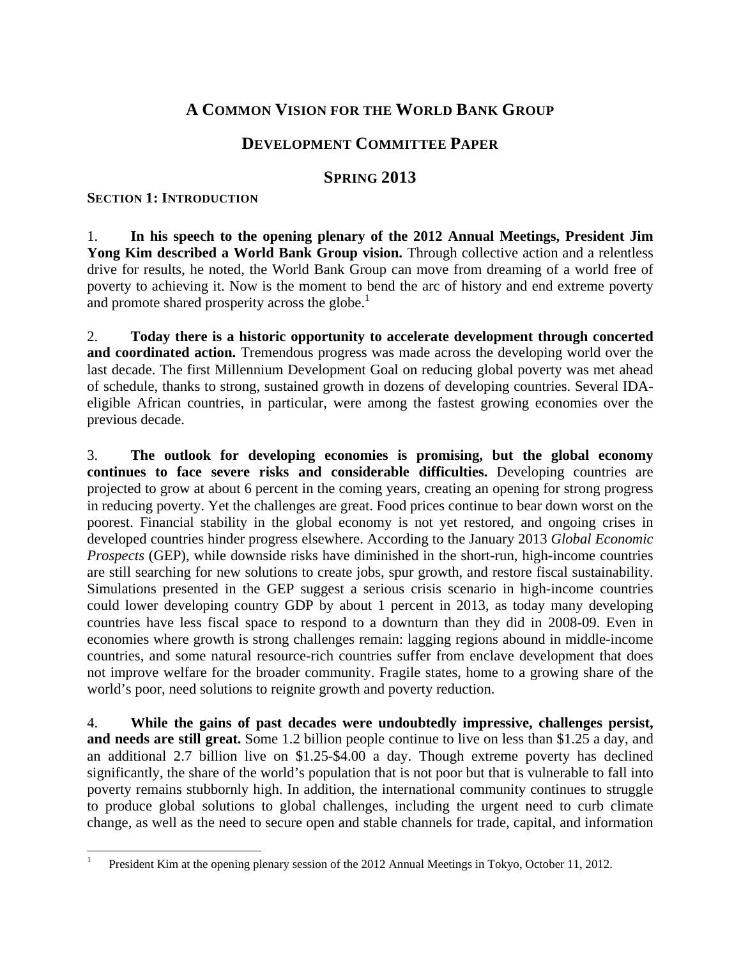## **A COMMON VISION FOR THE WORLD BANK GROUP**

## **DEVELOPMENT COMMITTEE PAPER**

## **SPRING 2013**

#### **SECTION 1: INTRODUCTION**

1. **In his speech to the opening plenary of the 2012 Annual Meetings, President Jim**  Yong Kim described a World Bank Group vision. Through collective action and a relentless drive for results, he noted, the World Bank Group can move from dreaming of a world free of poverty to achieving it. Now is the moment to bend the arc of history and end extreme poverty and promote shared prosperity across the globe. $<sup>1</sup>$ </sup>

2. **Today there is a historic opportunity to accelerate development through concerted**  and coordinated action. Tremendous progress was made across the developing world over the last decade. The first Millennium Development Goal on reducing global poverty was met ahead of schedule, thanks to strong, sustained growth in dozens of developing countries. Several IDAeligible African countries, in particular, were among the fastest growing economies over the previous decade.

3. **The outlook for developing economies is promising, but the global economy continues to face severe risks and considerable difficulties.** Developing countries are projected to grow at about 6 percent in the coming years, creating an opening for strong progress in reducing poverty. Yet the challenges are great. Food prices continue to bear down worst on the poorest. Financial stability in the global economy is not yet restored, and ongoing crises in developed countries hinder progress elsewhere. According to the January 2013 *Global Economic Prospects* (GEP), while downside risks have diminished in the short-run, high-income countries are still searching for new solutions to create jobs, spur growth, and restore fiscal sustainability. Simulations presented in the GEP suggest a serious crisis scenario in high-income countries could lower developing country GDP by about 1 percent in 2013, as today many developing countries have less fiscal space to respond to a downturn than they did in 2008-09. Even in economies where growth is strong challenges remain: lagging regions abound in middle-income countries, and some natural resource-rich countries suffer from enclave development that does not improve welfare for the broader community. Fragile states, home to a growing share of the world's poor, need solutions to reignite growth and poverty reduction.

4. **While the gains of past decades were undoubtedly impressive, challenges persist, and needs are still great.** Some 1.2 billion people continue to live on less than \$1.25 a day, and an additional 2.7 billion live on \$1.25-\$4.00 a day. Though extreme poverty has declined significantly, the share of the world's population that is not poor but that is vulnerable to fall into poverty remains stubbornly high. In addition, the international community continues to struggle to produce global solutions to global challenges, including the urgent need to curb climate change, as well as the need to secure open and stable channels for trade, capital, and information

<sup>&</sup>lt;sup>1</sup> President Kim at the opening plenary session of the 2012 Annual Meetings in Tokyo, October 11, 2012.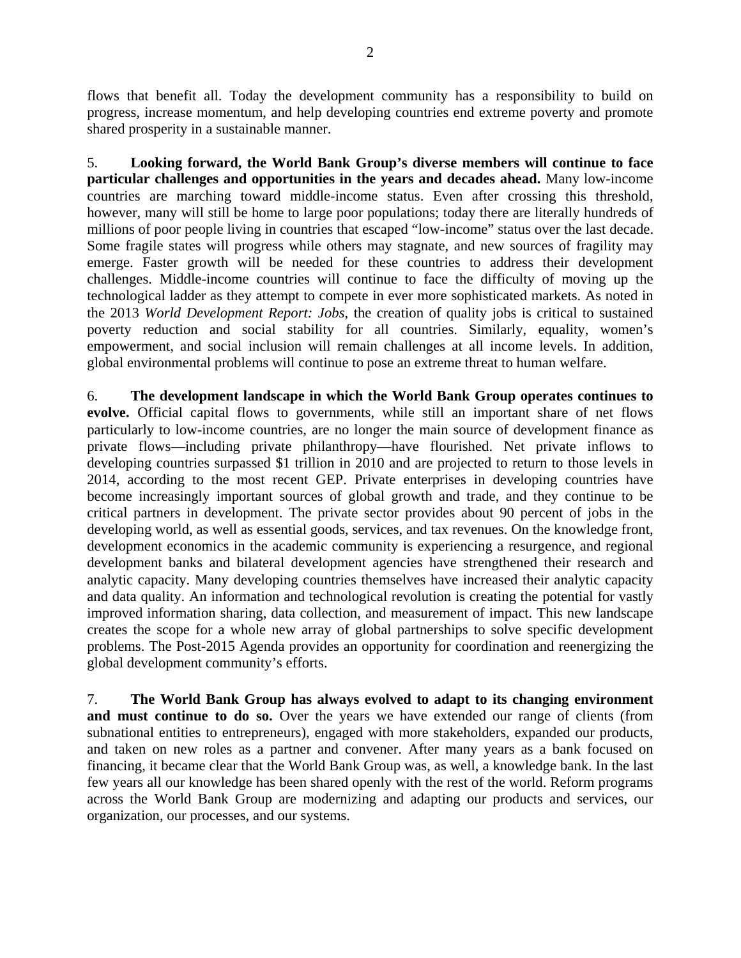flows that benefit all. Today the development community has a responsibility to build on progress, increase momentum, and help developing countries end extreme poverty and promote shared prosperity in a sustainable manner.

5. **Looking forward, the World Bank Group's diverse members will continue to face particular challenges and opportunities in the years and decades ahead.** Many low-income countries are marching toward middle-income status. Even after crossing this threshold, however, many will still be home to large poor populations; today there are literally hundreds of millions of poor people living in countries that escaped "low-income" status over the last decade. Some fragile states will progress while others may stagnate, and new sources of fragility may emerge. Faster growth will be needed for these countries to address their development challenges. Middle-income countries will continue to face the difficulty of moving up the technological ladder as they attempt to compete in ever more sophisticated markets. As noted in the 2013 *World Development Report: Jobs*, the creation of quality jobs is critical to sustained poverty reduction and social stability for all countries. Similarly, equality, women's empowerment, and social inclusion will remain challenges at all income levels. In addition, global environmental problems will continue to pose an extreme threat to human welfare.

6. **The development landscape in which the World Bank Group operates continues to evolve.** Official capital flows to governments, while still an important share of net flows particularly to low-income countries, are no longer the main source of development finance as private flows—including private philanthropy—have flourished. Net private inflows to developing countries surpassed \$1 trillion in 2010 and are projected to return to those levels in 2014, according to the most recent GEP. Private enterprises in developing countries have become increasingly important sources of global growth and trade, and they continue to be critical partners in development. The private sector provides about 90 percent of jobs in the developing world, as well as essential goods, services, and tax revenues. On the knowledge front, development economics in the academic community is experiencing a resurgence, and regional development banks and bilateral development agencies have strengthened their research and analytic capacity. Many developing countries themselves have increased their analytic capacity and data quality. An information and technological revolution is creating the potential for vastly improved information sharing, data collection, and measurement of impact. This new landscape creates the scope for a whole new array of global partnerships to solve specific development problems. The Post-2015 Agenda provides an opportunity for coordination and reenergizing the global development community's efforts.

7. **The World Bank Group has always evolved to adapt to its changing environment**  and must continue to do so. Over the years we have extended our range of clients (from subnational entities to entrepreneurs), engaged with more stakeholders, expanded our products, and taken on new roles as a partner and convener. After many years as a bank focused on financing, it became clear that the World Bank Group was, as well, a knowledge bank. In the last few years all our knowledge has been shared openly with the rest of the world. Reform programs across the World Bank Group are modernizing and adapting our products and services, our organization, our processes, and our systems.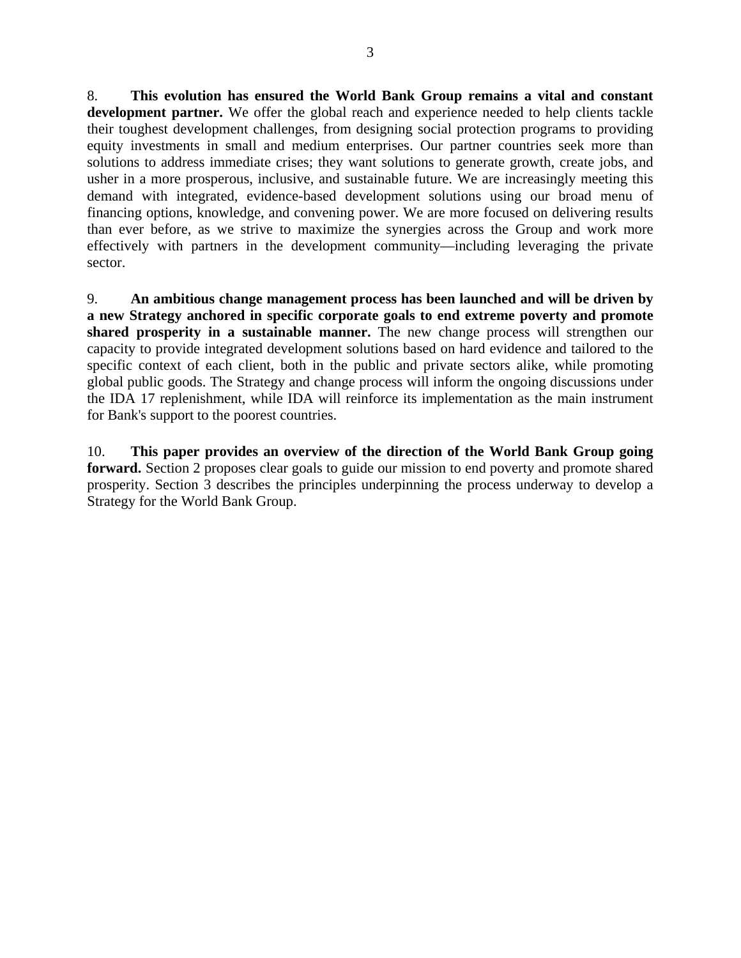8. **This evolution has ensured the World Bank Group remains a vital and constant development partner.** We offer the global reach and experience needed to help clients tackle their toughest development challenges, from designing social protection programs to providing equity investments in small and medium enterprises. Our partner countries seek more than solutions to address immediate crises; they want solutions to generate growth, create jobs, and usher in a more prosperous, inclusive, and sustainable future. We are increasingly meeting this demand with integrated, evidence-based development solutions using our broad menu of financing options, knowledge, and convening power. We are more focused on delivering results than ever before, as we strive to maximize the synergies across the Group and work more effectively with partners in the development community—including leveraging the private sector.

9. **An ambitious change management process has been launched and will be driven by a new Strategy anchored in specific corporate goals to end extreme poverty and promote shared prosperity in a sustainable manner.** The new change process will strengthen our capacity to provide integrated development solutions based on hard evidence and tailored to the specific context of each client, both in the public and private sectors alike, while promoting global public goods. The Strategy and change process will inform the ongoing discussions under the IDA 17 replenishment, while IDA will reinforce its implementation as the main instrument for Bank's support to the poorest countries.

10. **This paper provides an overview of the direction of the World Bank Group going forward.** Section 2 proposes clear goals to guide our mission to end poverty and promote shared prosperity. Section 3 describes the principles underpinning the process underway to develop a Strategy for the World Bank Group.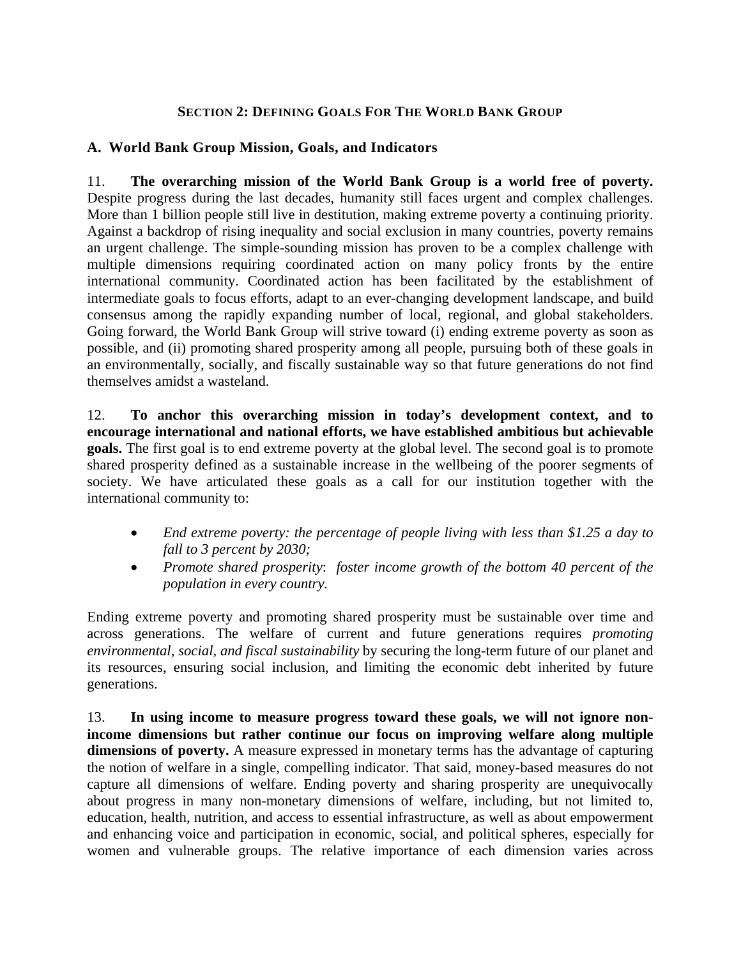## **SECTION 2: DEFINING GOALS FOR THE WORLD BANK GROUP**

#### **A. World Bank Group Mission, Goals, and Indicators**

11. **The overarching mission of the World Bank Group is a world free of poverty.**  Despite progress during the last decades, humanity still faces urgent and complex challenges. More than 1 billion people still live in destitution, making extreme poverty a continuing priority. Against a backdrop of rising inequality and social exclusion in many countries, poverty remains an urgent challenge. The simple-sounding mission has proven to be a complex challenge with multiple dimensions requiring coordinated action on many policy fronts by the entire international community. Coordinated action has been facilitated by the establishment of intermediate goals to focus efforts, adapt to an ever-changing development landscape, and build consensus among the rapidly expanding number of local, regional, and global stakeholders. Going forward, the World Bank Group will strive toward (i) ending extreme poverty as soon as possible, and (ii) promoting shared prosperity among all people, pursuing both of these goals in an environmentally, socially, and fiscally sustainable way so that future generations do not find themselves amidst a wasteland.

12. **To anchor this overarching mission in today's development context, and to encourage international and national efforts, we have established ambitious but achievable goals.** The first goal is to end extreme poverty at the global level. The second goal is to promote shared prosperity defined as a sustainable increase in the wellbeing of the poorer segments of society. We have articulated these goals as a call for our institution together with the international community to:

- *End extreme poverty: the percentage of people living with less than \$1.25 a day to fall to 3 percent by 2030;*
- *Promote shared prosperity*: *foster income growth of the bottom 40 percent of the population in every country.*

Ending extreme poverty and promoting shared prosperity must be sustainable over time and across generations. The welfare of current and future generations requires *promoting environmental, social, and fiscal sustainability* by securing the long-term future of our planet and its resources, ensuring social inclusion, and limiting the economic debt inherited by future generations.

13. **In using income to measure progress toward these goals, we will not ignore nonincome dimensions but rather continue our focus on improving welfare along multiple dimensions of poverty.** A measure expressed in monetary terms has the advantage of capturing the notion of welfare in a single, compelling indicator. That said, money-based measures do not capture all dimensions of welfare. Ending poverty and sharing prosperity are unequivocally about progress in many non-monetary dimensions of welfare, including, but not limited to, education, health, nutrition, and access to essential infrastructure, as well as about empowerment and enhancing voice and participation in economic, social, and political spheres, especially for women and vulnerable groups. The relative importance of each dimension varies across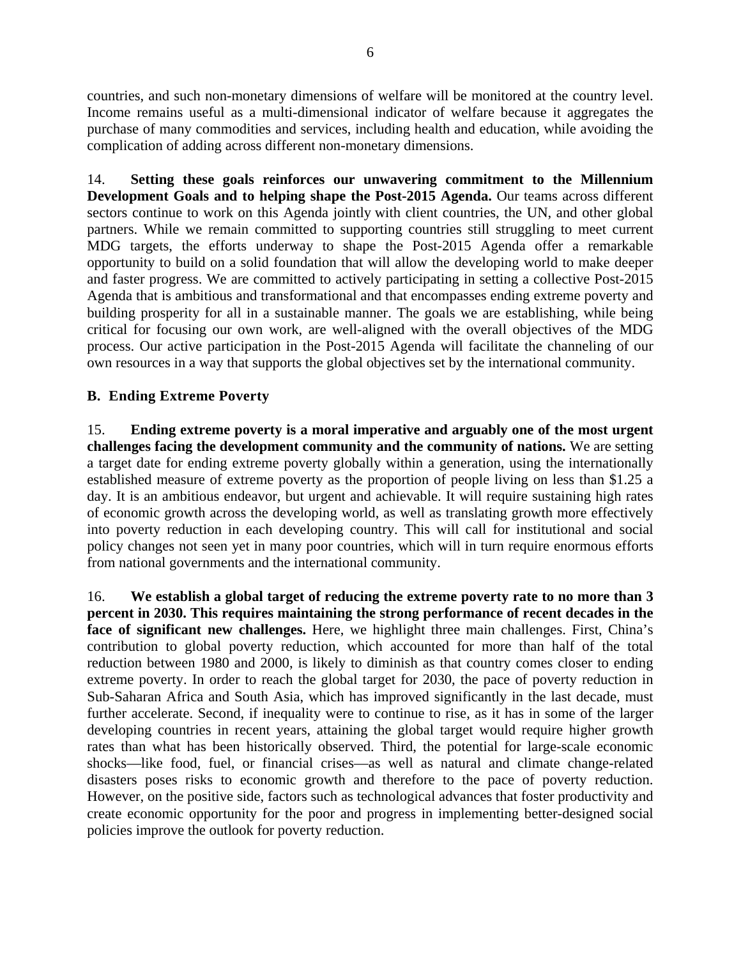countries, and such non-monetary dimensions of welfare will be monitored at the country level. Income remains useful as a multi-dimensional indicator of welfare because it aggregates the purchase of many commodities and services, including health and education, while avoiding the complication of adding across different non-monetary dimensions.

14. **Setting these goals reinforces our unwavering commitment to the Millennium Development Goals and to helping shape the Post-2015 Agenda.** Our teams across different sectors continue to work on this Agenda jointly with client countries, the UN, and other global partners. While we remain committed to supporting countries still struggling to meet current MDG targets, the efforts underway to shape the Post-2015 Agenda offer a remarkable opportunity to build on a solid foundation that will allow the developing world to make deeper and faster progress. We are committed to actively participating in setting a collective Post-2015 Agenda that is ambitious and transformational and that encompasses ending extreme poverty and building prosperity for all in a sustainable manner. The goals we are establishing, while being critical for focusing our own work, are well-aligned with the overall objectives of the MDG process. Our active participation in the Post-2015 Agenda will facilitate the channeling of our own resources in a way that supports the global objectives set by the international community.

## **B. Ending Extreme Poverty**

15. **Ending extreme poverty is a moral imperative and arguably one of the most urgent challenges facing the development community and the community of nations.** We are setting a target date for ending extreme poverty globally within a generation, using the internationally established measure of extreme poverty as the proportion of people living on less than \$1.25 a day. It is an ambitious endeavor, but urgent and achievable. It will require sustaining high rates of economic growth across the developing world, as well as translating growth more effectively into poverty reduction in each developing country. This will call for institutional and social policy changes not seen yet in many poor countries, which will in turn require enormous efforts from national governments and the international community.

16. **We establish a global target of reducing the extreme poverty rate to no more than 3 percent in 2030. This requires maintaining the strong performance of recent decades in the face of significant new challenges.** Here, we highlight three main challenges. First, China's contribution to global poverty reduction, which accounted for more than half of the total reduction between 1980 and 2000, is likely to diminish as that country comes closer to ending extreme poverty. In order to reach the global target for 2030, the pace of poverty reduction in Sub-Saharan Africa and South Asia, which has improved significantly in the last decade, must further accelerate. Second, if inequality were to continue to rise, as it has in some of the larger developing countries in recent years, attaining the global target would require higher growth rates than what has been historically observed. Third, the potential for large-scale economic shocks—like food, fuel, or financial crises—as well as natural and climate change-related disasters poses risks to economic growth and therefore to the pace of poverty reduction. However, on the positive side, factors such as technological advances that foster productivity and create economic opportunity for the poor and progress in implementing better-designed social policies improve the outlook for poverty reduction.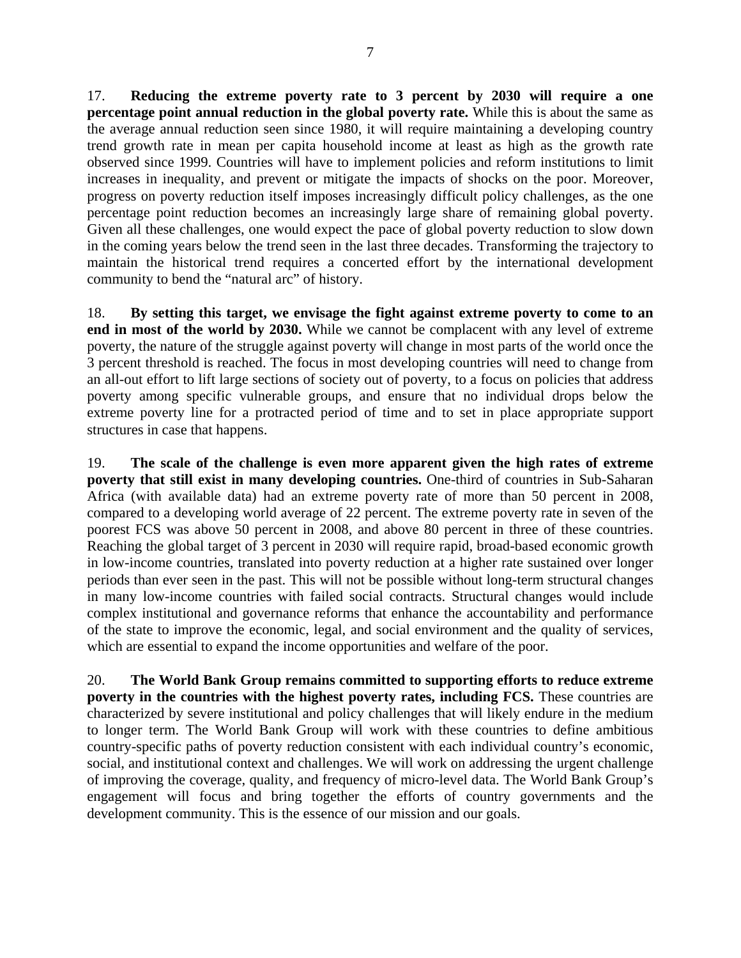17. **Reducing the extreme poverty rate to 3 percent by 2030 will require a one percentage point annual reduction in the global poverty rate.** While this is about the same as the average annual reduction seen since 1980, it will require maintaining a developing country trend growth rate in mean per capita household income at least as high as the growth rate observed since 1999. Countries will have to implement policies and reform institutions to limit increases in inequality, and prevent or mitigate the impacts of shocks on the poor. Moreover, progress on poverty reduction itself imposes increasingly difficult policy challenges, as the one percentage point reduction becomes an increasingly large share of remaining global poverty. Given all these challenges, one would expect the pace of global poverty reduction to slow down in the coming years below the trend seen in the last three decades. Transforming the trajectory to maintain the historical trend requires a concerted effort by the international development community to bend the "natural arc" of history.

18. **By setting this target, we envisage the fight against extreme poverty to come to an end in most of the world by 2030.** While we cannot be complacent with any level of extreme poverty, the nature of the struggle against poverty will change in most parts of the world once the 3 percent threshold is reached. The focus in most developing countries will need to change from an all-out effort to lift large sections of society out of poverty, to a focus on policies that address poverty among specific vulnerable groups, and ensure that no individual drops below the extreme poverty line for a protracted period of time and to set in place appropriate support structures in case that happens.

19. **The scale of the challenge is even more apparent given the high rates of extreme poverty that still exist in many developing countries.** One-third of countries in Sub-Saharan Africa (with available data) had an extreme poverty rate of more than 50 percent in 2008, compared to a developing world average of 22 percent. The extreme poverty rate in seven of the poorest FCS was above 50 percent in 2008, and above 80 percent in three of these countries. Reaching the global target of 3 percent in 2030 will require rapid, broad-based economic growth in low-income countries, translated into poverty reduction at a higher rate sustained over longer periods than ever seen in the past. This will not be possible without long-term structural changes in many low-income countries with failed social contracts. Structural changes would include complex institutional and governance reforms that enhance the accountability and performance of the state to improve the economic, legal, and social environment and the quality of services, which are essential to expand the income opportunities and welfare of the poor.

20. **The World Bank Group remains committed to supporting efforts to reduce extreme poverty in the countries with the highest poverty rates, including FCS.** These countries are characterized by severe institutional and policy challenges that will likely endure in the medium to longer term. The World Bank Group will work with these countries to define ambitious country-specific paths of poverty reduction consistent with each individual country's economic, social, and institutional context and challenges. We will work on addressing the urgent challenge of improving the coverage, quality, and frequency of micro-level data. The World Bank Group's engagement will focus and bring together the efforts of country governments and the development community. This is the essence of our mission and our goals.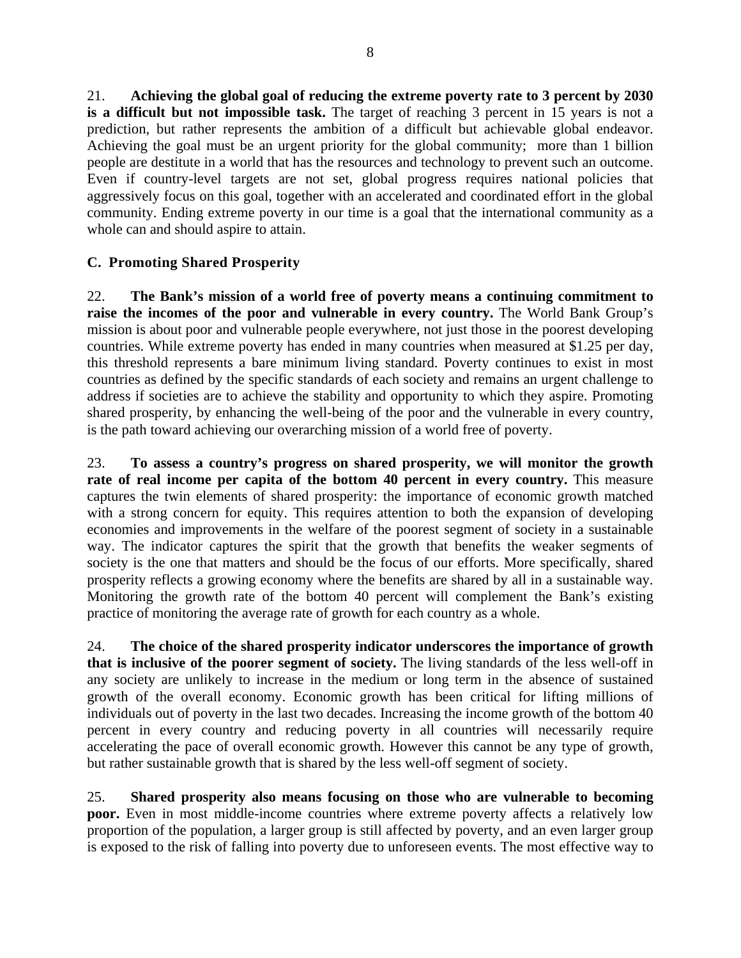21. **Achieving the global goal of reducing the extreme poverty rate to 3 percent by 2030 is a difficult but not impossible task.** The target of reaching 3 percent in 15 years is not a prediction, but rather represents the ambition of a difficult but achievable global endeavor. Achieving the goal must be an urgent priority for the global community; more than 1 billion people are destitute in a world that has the resources and technology to prevent such an outcome. Even if country-level targets are not set, global progress requires national policies that aggressively focus on this goal, together with an accelerated and coordinated effort in the global community. Ending extreme poverty in our time is a goal that the international community as a whole can and should aspire to attain.

## **C. Promoting Shared Prosperity**

22. **The Bank's mission of a world free of poverty means a continuing commitment to raise the incomes of the poor and vulnerable in every country.** The World Bank Group's mission is about poor and vulnerable people everywhere, not just those in the poorest developing countries. While extreme poverty has ended in many countries when measured at \$1.25 per day, this threshold represents a bare minimum living standard. Poverty continues to exist in most countries as defined by the specific standards of each society and remains an urgent challenge to address if societies are to achieve the stability and opportunity to which they aspire. Promoting shared prosperity, by enhancing the well-being of the poor and the vulnerable in every country, is the path toward achieving our overarching mission of a world free of poverty.

23. **To assess a country's progress on shared prosperity, we will monitor the growth rate of real income per capita of the bottom 40 percent in every country.** This measure captures the twin elements of shared prosperity: the importance of economic growth matched with a strong concern for equity. This requires attention to both the expansion of developing economies and improvements in the welfare of the poorest segment of society in a sustainable way. The indicator captures the spirit that the growth that benefits the weaker segments of society is the one that matters and should be the focus of our efforts. More specifically, shared prosperity reflects a growing economy where the benefits are shared by all in a sustainable way. Monitoring the growth rate of the bottom 40 percent will complement the Bank's existing practice of monitoring the average rate of growth for each country as a whole.

24. **The choice of the shared prosperity indicator underscores the importance of growth that is inclusive of the poorer segment of society.** The living standards of the less well-off in any society are unlikely to increase in the medium or long term in the absence of sustained growth of the overall economy. Economic growth has been critical for lifting millions of individuals out of poverty in the last two decades. Increasing the income growth of the bottom 40 percent in every country and reducing poverty in all countries will necessarily require accelerating the pace of overall economic growth. However this cannot be any type of growth, but rather sustainable growth that is shared by the less well-off segment of society.

25. **Shared prosperity also means focusing on those who are vulnerable to becoming poor.** Even in most middle-income countries where extreme poverty affects a relatively low proportion of the population, a larger group is still affected by poverty, and an even larger group is exposed to the risk of falling into poverty due to unforeseen events. The most effective way to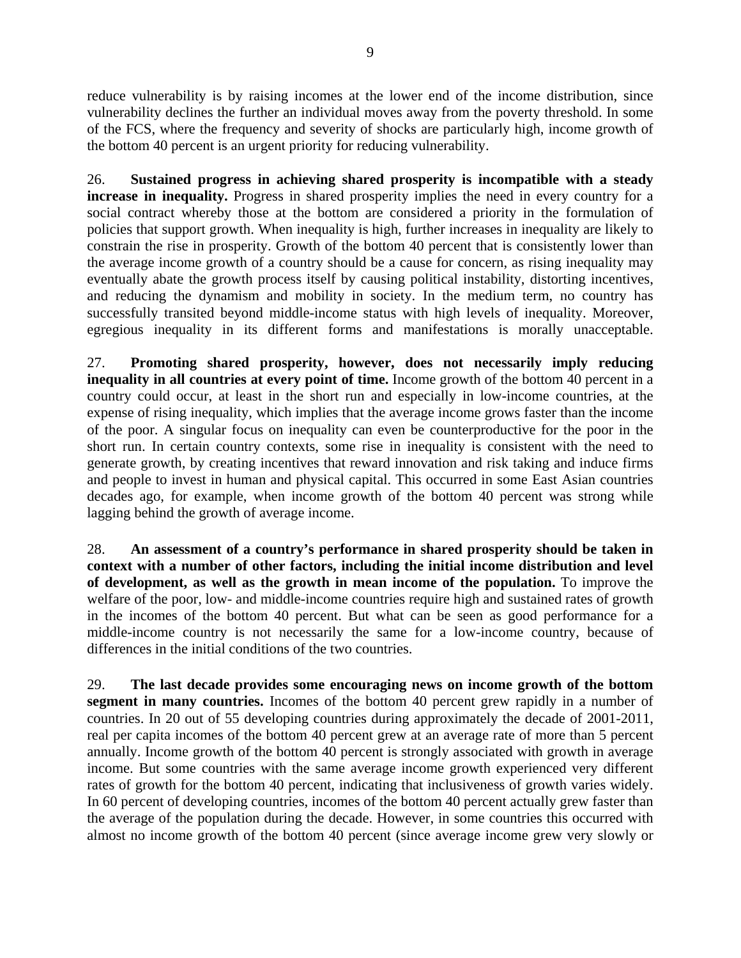reduce vulnerability is by raising incomes at the lower end of the income distribution, since vulnerability declines the further an individual moves away from the poverty threshold. In some of the FCS, where the frequency and severity of shocks are particularly high, income growth of the bottom 40 percent is an urgent priority for reducing vulnerability.

26. **Sustained progress in achieving shared prosperity is incompatible with a steady**  increase in inequality. Progress in shared prosperity implies the need in every country for a social contract whereby those at the bottom are considered a priority in the formulation of policies that support growth. When inequality is high, further increases in inequality are likely to constrain the rise in prosperity. Growth of the bottom 40 percent that is consistently lower than the average income growth of a country should be a cause for concern, as rising inequality may eventually abate the growth process itself by causing political instability, distorting incentives, and reducing the dynamism and mobility in society. In the medium term, no country has successfully transited beyond middle-income status with high levels of inequality. Moreover, egregious inequality in its different forms and manifestations is morally unacceptable.

27. **Promoting shared prosperity, however, does not necessarily imply reducing inequality in all countries at every point of time.** Income growth of the bottom 40 percent in a country could occur, at least in the short run and especially in low-income countries, at the expense of rising inequality, which implies that the average income grows faster than the income of the poor. A singular focus on inequality can even be counterproductive for the poor in the short run. In certain country contexts, some rise in inequality is consistent with the need to generate growth, by creating incentives that reward innovation and risk taking and induce firms and people to invest in human and physical capital. This occurred in some East Asian countries decades ago, for example, when income growth of the bottom 40 percent was strong while lagging behind the growth of average income.

28. **An assessment of a country's performance in shared prosperity should be taken in context with a number of other factors, including the initial income distribution and level of development, as well as the growth in mean income of the population.** To improve the welfare of the poor, low- and middle-income countries require high and sustained rates of growth in the incomes of the bottom 40 percent. But what can be seen as good performance for a middle-income country is not necessarily the same for a low-income country, because of differences in the initial conditions of the two countries.

29. **The last decade provides some encouraging news on income growth of the bottom segment in many countries.** Incomes of the bottom 40 percent grew rapidly in a number of countries. In 20 out of 55 developing countries during approximately the decade of 2001-2011, real per capita incomes of the bottom 40 percent grew at an average rate of more than 5 percent annually. Income growth of the bottom 40 percent is strongly associated with growth in average income. But some countries with the same average income growth experienced very different rates of growth for the bottom 40 percent, indicating that inclusiveness of growth varies widely. In 60 percent of developing countries, incomes of the bottom 40 percent actually grew faster than the average of the population during the decade. However, in some countries this occurred with almost no income growth of the bottom 40 percent (since average income grew very slowly or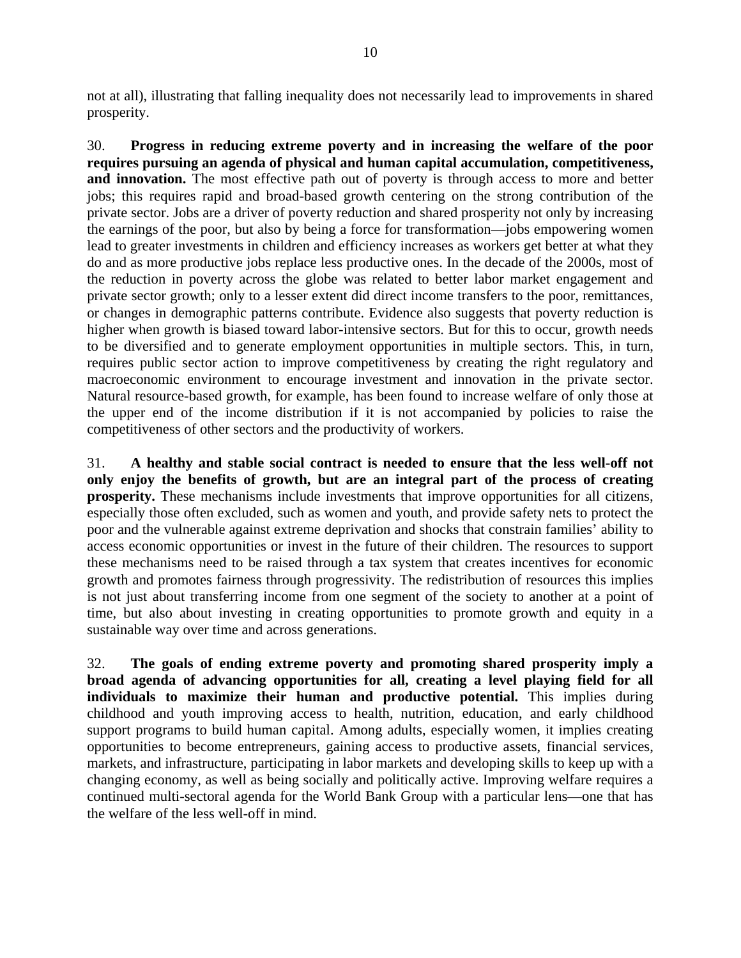not at all), illustrating that falling inequality does not necessarily lead to improvements in shared prosperity.

30. **Progress in reducing extreme poverty and in increasing the welfare of the poor requires pursuing an agenda of physical and human capital accumulation, competitiveness,**  and innovation. The most effective path out of poverty is through access to more and better jobs; this requires rapid and broad-based growth centering on the strong contribution of the private sector. Jobs are a driver of poverty reduction and shared prosperity not only by increasing the earnings of the poor, but also by being a force for transformation—jobs empowering women lead to greater investments in children and efficiency increases as workers get better at what they do and as more productive jobs replace less productive ones. In the decade of the 2000s, most of the reduction in poverty across the globe was related to better labor market engagement and private sector growth; only to a lesser extent did direct income transfers to the poor, remittances, or changes in demographic patterns contribute. Evidence also suggests that poverty reduction is higher when growth is biased toward labor-intensive sectors. But for this to occur, growth needs to be diversified and to generate employment opportunities in multiple sectors. This, in turn, requires public sector action to improve competitiveness by creating the right regulatory and macroeconomic environment to encourage investment and innovation in the private sector. Natural resource-based growth, for example, has been found to increase welfare of only those at the upper end of the income distribution if it is not accompanied by policies to raise the competitiveness of other sectors and the productivity of workers.

31. **A healthy and stable social contract is needed to ensure that the less well-off not only enjoy the benefits of growth, but are an integral part of the process of creating prosperity.** These mechanisms include investments that improve opportunities for all citizens, especially those often excluded, such as women and youth, and provide safety nets to protect the poor and the vulnerable against extreme deprivation and shocks that constrain families' ability to access economic opportunities or invest in the future of their children. The resources to support these mechanisms need to be raised through a tax system that creates incentives for economic growth and promotes fairness through progressivity. The redistribution of resources this implies is not just about transferring income from one segment of the society to another at a point of time, but also about investing in creating opportunities to promote growth and equity in a sustainable way over time and across generations.

32. **The goals of ending extreme poverty and promoting shared prosperity imply a broad agenda of advancing opportunities for all, creating a level playing field for all individuals to maximize their human and productive potential.** This implies during childhood and youth improving access to health, nutrition, education, and early childhood support programs to build human capital. Among adults, especially women, it implies creating opportunities to become entrepreneurs, gaining access to productive assets, financial services, markets, and infrastructure, participating in labor markets and developing skills to keep up with a changing economy, as well as being socially and politically active. Improving welfare requires a continued multi-sectoral agenda for the World Bank Group with a particular lens—one that has the welfare of the less well-off in mind.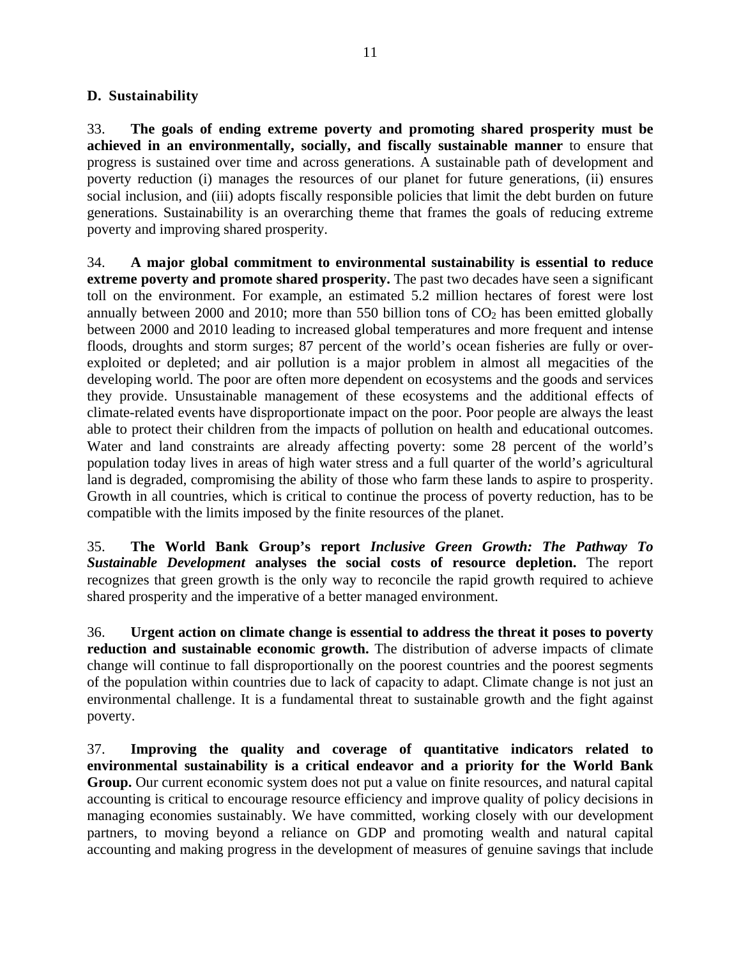#### **D. Sustainability**

33. **The goals of ending extreme poverty and promoting shared prosperity must be achieved in an environmentally, socially, and fiscally sustainable manner** to ensure that progress is sustained over time and across generations. A sustainable path of development and poverty reduction (i) manages the resources of our planet for future generations, (ii) ensures social inclusion, and (iii) adopts fiscally responsible policies that limit the debt burden on future generations. Sustainability is an overarching theme that frames the goals of reducing extreme poverty and improving shared prosperity.

34. **A major global commitment to environmental sustainability is essential to reduce extreme poverty and promote shared prosperity.** The past two decades have seen a significant toll on the environment. For example, an estimated 5.2 million hectares of forest were lost annually between 2000 and 2010; more than 550 billion tons of  $CO<sub>2</sub>$  has been emitted globally between 2000 and 2010 leading to increased global temperatures and more frequent and intense floods, droughts and storm surges; 87 percent of the world's ocean fisheries are fully or overexploited or depleted; and air pollution is a major problem in almost all megacities of the developing world. The poor are often more dependent on ecosystems and the goods and services they provide. Unsustainable management of these ecosystems and the additional effects of climate-related events have disproportionate impact on the poor. Poor people are always the least able to protect their children from the impacts of pollution on health and educational outcomes. Water and land constraints are already affecting poverty: some 28 percent of the world's population today lives in areas of high water stress and a full quarter of the world's agricultural land is degraded, compromising the ability of those who farm these lands to aspire to prosperity. Growth in all countries, which is critical to continue the process of poverty reduction, has to be compatible with the limits imposed by the finite resources of the planet.

35. **The World Bank Group's report** *Inclusive Green Growth: The Pathway To Sustainable Development* **analyses the social costs of resource depletion.** The report recognizes that green growth is the only way to reconcile the rapid growth required to achieve shared prosperity and the imperative of a better managed environment.

36. **Urgent action on climate change is essential to address the threat it poses to poverty reduction and sustainable economic growth.** The distribution of adverse impacts of climate change will continue to fall disproportionally on the poorest countries and the poorest segments of the population within countries due to lack of capacity to adapt. Climate change is not just an environmental challenge. It is a fundamental threat to sustainable growth and the fight against poverty.

37. **Improving the quality and coverage of quantitative indicators related to environmental sustainability is a critical endeavor and a priority for the World Bank Group.** Our current economic system does not put a value on finite resources, and natural capital accounting is critical to encourage resource efficiency and improve quality of policy decisions in managing economies sustainably. We have committed, working closely with our development partners, to moving beyond a reliance on GDP and promoting wealth and natural capital accounting and making progress in the development of measures of genuine savings that include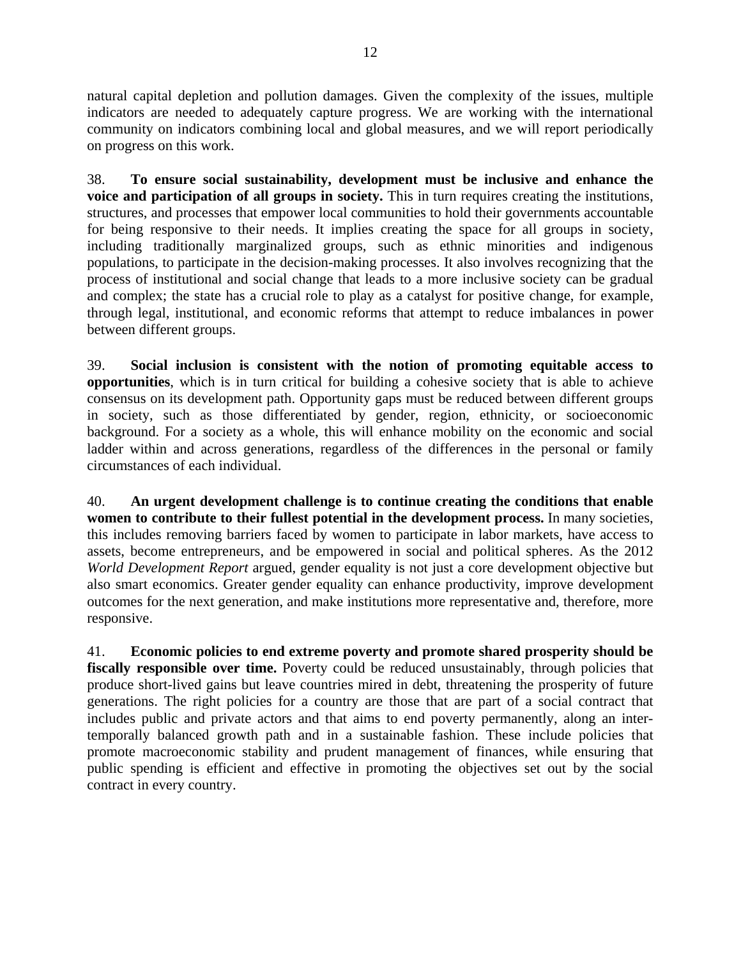natural capital depletion and pollution damages. Given the complexity of the issues, multiple indicators are needed to adequately capture progress. We are working with the international community on indicators combining local and global measures, and we will report periodically on progress on this work.

38. **To ensure social sustainability, development must be inclusive and enhance the voice and participation of all groups in society.** This in turn requires creating the institutions, structures, and processes that empower local communities to hold their governments accountable for being responsive to their needs. It implies creating the space for all groups in society, including traditionally marginalized groups, such as ethnic minorities and indigenous populations, to participate in the decision-making processes. It also involves recognizing that the process of institutional and social change that leads to a more inclusive society can be gradual and complex; the state has a crucial role to play as a catalyst for positive change, for example, through legal, institutional, and economic reforms that attempt to reduce imbalances in power between different groups.

39. **Social inclusion is consistent with the notion of promoting equitable access to opportunities**, which is in turn critical for building a cohesive society that is able to achieve consensus on its development path. Opportunity gaps must be reduced between different groups in society, such as those differentiated by gender, region, ethnicity, or socioeconomic background. For a society as a whole, this will enhance mobility on the economic and social ladder within and across generations, regardless of the differences in the personal or family circumstances of each individual.

40. **An urgent development challenge is to continue creating the conditions that enable women to contribute to their fullest potential in the development process.** In many societies, this includes removing barriers faced by women to participate in labor markets, have access to assets, become entrepreneurs, and be empowered in social and political spheres. As the 2012 *World Development Report* argued, gender equality is not just a core development objective but also smart economics. Greater gender equality can enhance productivity, improve development outcomes for the next generation, and make institutions more representative and, therefore, more responsive.

41. **Economic policies to end extreme poverty and promote shared prosperity should be**  fiscally responsible over time. Poverty could be reduced unsustainably, through policies that produce short-lived gains but leave countries mired in debt, threatening the prosperity of future generations. The right policies for a country are those that are part of a social contract that includes public and private actors and that aims to end poverty permanently, along an intertemporally balanced growth path and in a sustainable fashion. These include policies that promote macroeconomic stability and prudent management of finances, while ensuring that public spending is efficient and effective in promoting the objectives set out by the social contract in every country.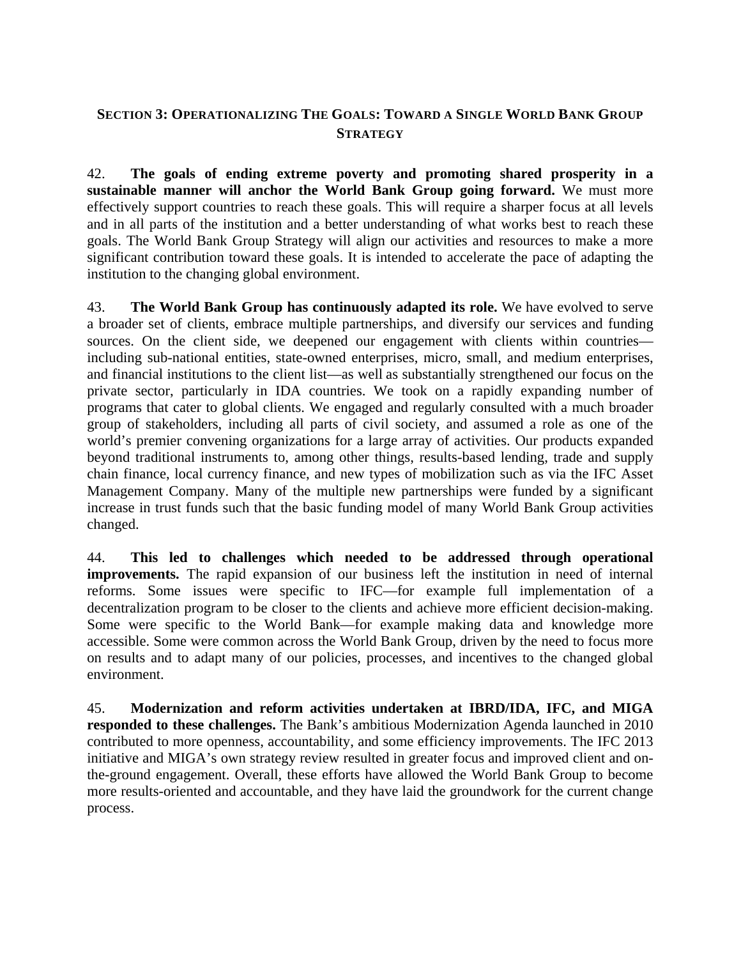## **SECTION 3: OPERATIONALIZING THE GOALS: TOWARD A SINGLE WORLD BANK GROUP STRATEGY**

42. **The goals of ending extreme poverty and promoting shared prosperity in a sustainable manner will anchor the World Bank Group going forward.** We must more effectively support countries to reach these goals. This will require a sharper focus at all levels and in all parts of the institution and a better understanding of what works best to reach these goals. The World Bank Group Strategy will align our activities and resources to make a more significant contribution toward these goals. It is intended to accelerate the pace of adapting the institution to the changing global environment.

43. **The World Bank Group has continuously adapted its role.** We have evolved to serve a broader set of clients, embrace multiple partnerships, and diversify our services and funding sources. On the client side, we deepened our engagement with clients within countries including sub-national entities, state-owned enterprises, micro, small, and medium enterprises, and financial institutions to the client list—as well as substantially strengthened our focus on the private sector, particularly in IDA countries. We took on a rapidly expanding number of programs that cater to global clients. We engaged and regularly consulted with a much broader group of stakeholders, including all parts of civil society, and assumed a role as one of the world's premier convening organizations for a large array of activities. Our products expanded beyond traditional instruments to, among other things, results-based lending, trade and supply chain finance, local currency finance, and new types of mobilization such as via the IFC Asset Management Company. Many of the multiple new partnerships were funded by a significant increase in trust funds such that the basic funding model of many World Bank Group activities changed.

44. **This led to challenges which needed to be addressed through operational improvements.** The rapid expansion of our business left the institution in need of internal reforms. Some issues were specific to IFC—for example full implementation of a decentralization program to be closer to the clients and achieve more efficient decision-making. Some were specific to the World Bank—for example making data and knowledge more accessible. Some were common across the World Bank Group, driven by the need to focus more on results and to adapt many of our policies, processes, and incentives to the changed global environment.

45. **Modernization and reform activities undertaken at IBRD/IDA, IFC, and MIGA responded to these challenges.** The Bank's ambitious Modernization Agenda launched in 2010 contributed to more openness, accountability, and some efficiency improvements. The IFC 2013 initiative and MIGA's own strategy review resulted in greater focus and improved client and onthe-ground engagement. Overall, these efforts have allowed the World Bank Group to become more results-oriented and accountable, and they have laid the groundwork for the current change process.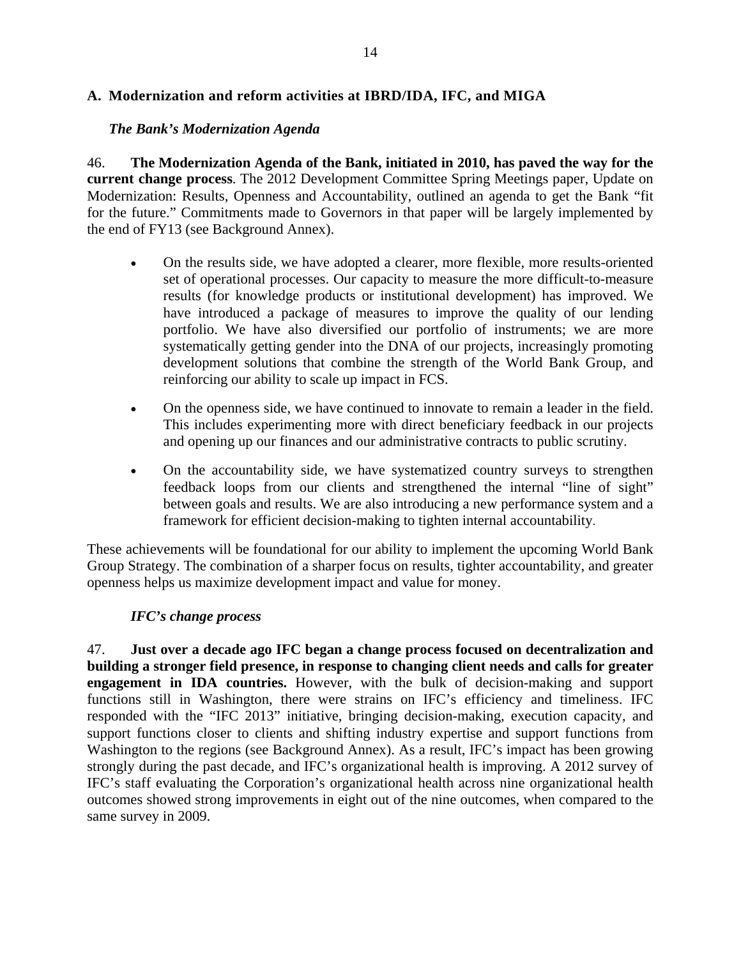## **A. Modernization and reform activities at IBRD/IDA, IFC, and MIGA**

#### *The Bank's Modernization Agenda*

46. **The Modernization Agenda of the Bank, initiated in 2010, has paved the way for the current change process**. The 2012 Development Committee Spring Meetings paper, Update on Modernization: Results, Openness and Accountability, outlined an agenda to get the Bank "fit for the future." Commitments made to Governors in that paper will be largely implemented by the end of FY13 (see Background Annex).

- On the results side, we have adopted a clearer, more flexible, more results-oriented set of operational processes. Our capacity to measure the more difficult-to-measure results (for knowledge products or institutional development) has improved. We have introduced a package of measures to improve the quality of our lending portfolio. We have also diversified our portfolio of instruments; we are more systematically getting gender into the DNA of our projects, increasingly promoting development solutions that combine the strength of the World Bank Group, and reinforcing our ability to scale up impact in FCS.
- On the openness side, we have continued to innovate to remain a leader in the field. This includes experimenting more with direct beneficiary feedback in our projects and opening up our finances and our administrative contracts to public scrutiny.
- On the accountability side, we have systematized country surveys to strengthen feedback loops from our clients and strengthened the internal "line of sight" between goals and results. We are also introducing a new performance system and a framework for efficient decision-making to tighten internal accountability.

These achievements will be foundational for our ability to implement the upcoming World Bank Group Strategy. The combination of a sharper focus on results, tighter accountability, and greater openness helps us maximize development impact and value for money.

## *IFC's change process*

47. **Just over a decade ago IFC began a change process focused on decentralization and building a stronger field presence, in response to changing client needs and calls for greater engagement in IDA countries.** However, with the bulk of decision-making and support functions still in Washington, there were strains on IFC's efficiency and timeliness. IFC responded with the "IFC 2013" initiative, bringing decision-making, execution capacity, and support functions closer to clients and shifting industry expertise and support functions from Washington to the regions (see Background Annex). As a result, IFC's impact has been growing strongly during the past decade, and IFC's organizational health is improving. A 2012 survey of IFC's staff evaluating the Corporation's organizational health across nine organizational health outcomes showed strong improvements in eight out of the nine outcomes, when compared to the same survey in 2009.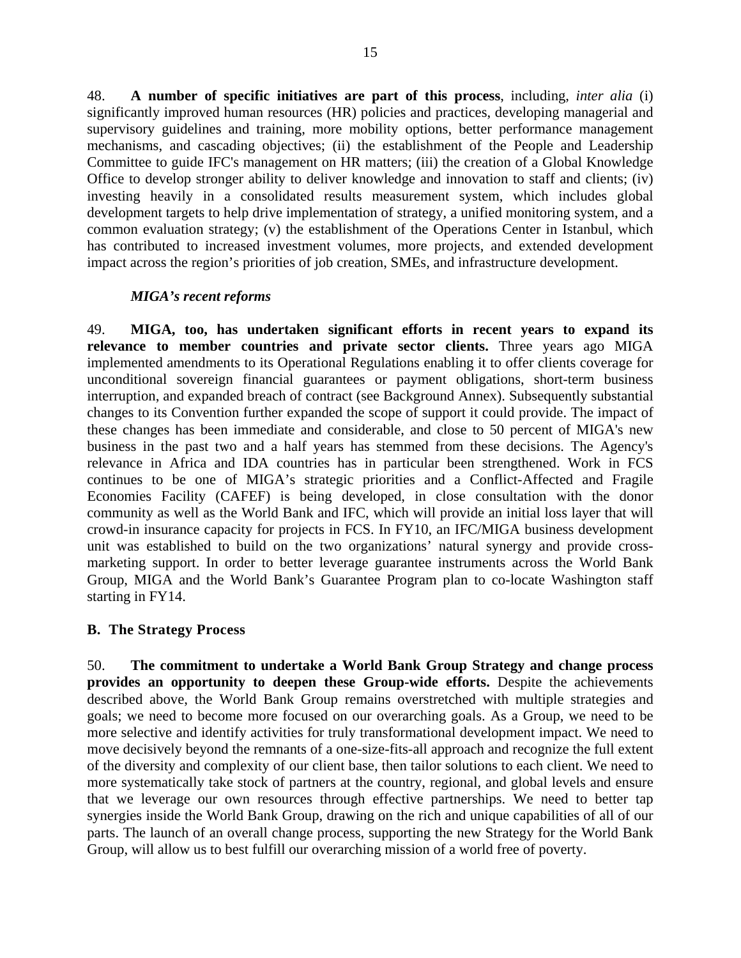48. **A number of specific initiatives are part of this process**, including, *inter alia* (i) significantly improved human resources (HR) policies and practices, developing managerial and supervisory guidelines and training, more mobility options, better performance management mechanisms, and cascading objectives; (ii) the establishment of the People and Leadership Committee to guide IFC's management on HR matters; (iii) the creation of a Global Knowledge Office to develop stronger ability to deliver knowledge and innovation to staff and clients; (iv) investing heavily in a consolidated results measurement system, which includes global development targets to help drive implementation of strategy, a unified monitoring system, and a common evaluation strategy; (v) the establishment of the Operations Center in Istanbul, which has contributed to increased investment volumes, more projects, and extended development impact across the region's priorities of job creation, SMEs, and infrastructure development.

## *MIGA's recent reforms*

49. **MIGA, too, has undertaken significant efforts in recent years to expand its relevance to member countries and private sector clients.** Three years ago MIGA implemented amendments to its Operational Regulations enabling it to offer clients coverage for unconditional sovereign financial guarantees or payment obligations, short-term business interruption, and expanded breach of contract (see Background Annex). Subsequently substantial changes to its Convention further expanded the scope of support it could provide. The impact of these changes has been immediate and considerable, and close to 50 percent of MIGA's new business in the past two and a half years has stemmed from these decisions. The Agency's relevance in Africa and IDA countries has in particular been strengthened. Work in FCS continues to be one of MIGA's strategic priorities and a Conflict-Affected and Fragile Economies Facility (CAFEF) is being developed, in close consultation with the donor community as well as the World Bank and IFC, which will provide an initial loss layer that will crowd-in insurance capacity for projects in FCS. In FY10, an IFC/MIGA business development unit was established to build on the two organizations' natural synergy and provide crossmarketing support. In order to better leverage guarantee instruments across the World Bank Group, MIGA and the World Bank's Guarantee Program plan to co-locate Washington staff starting in FY14.

#### **B. The Strategy Process**

50. **The commitment to undertake a World Bank Group Strategy and change process provides an opportunity to deepen these Group-wide efforts.** Despite the achievements described above, the World Bank Group remains overstretched with multiple strategies and goals; we need to become more focused on our overarching goals. As a Group, we need to be more selective and identify activities for truly transformational development impact. We need to move decisively beyond the remnants of a one-size-fits-all approach and recognize the full extent of the diversity and complexity of our client base, then tailor solutions to each client. We need to more systematically take stock of partners at the country, regional, and global levels and ensure that we leverage our own resources through effective partnerships. We need to better tap synergies inside the World Bank Group, drawing on the rich and unique capabilities of all of our parts. The launch of an overall change process, supporting the new Strategy for the World Bank Group, will allow us to best fulfill our overarching mission of a world free of poverty.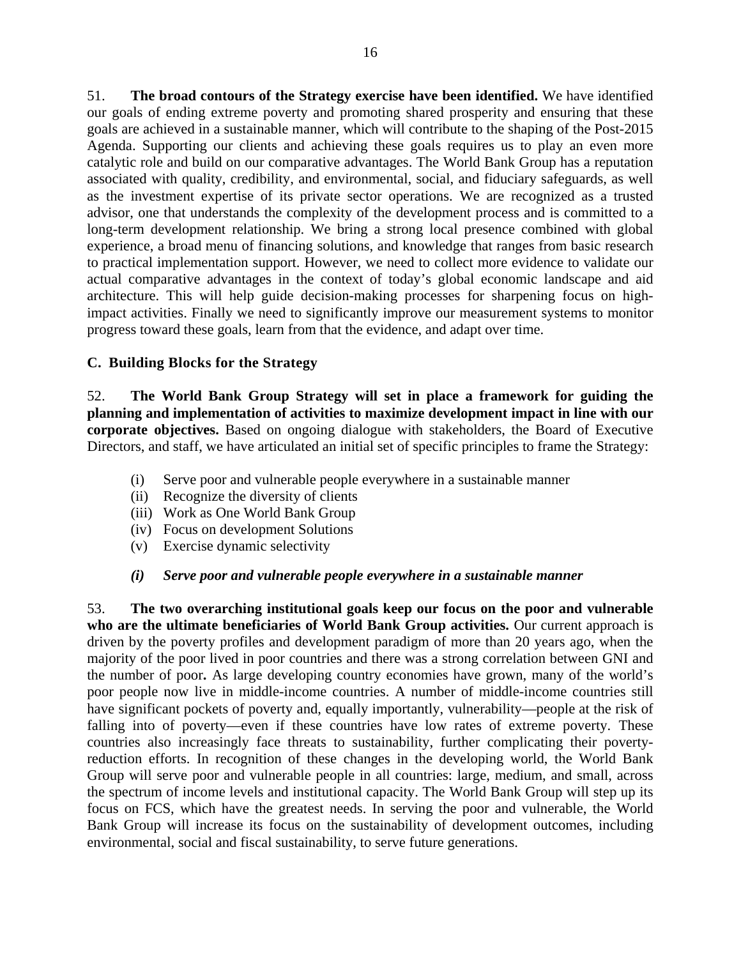51. **The broad contours of the Strategy exercise have been identified.** We have identified our goals of ending extreme poverty and promoting shared prosperity and ensuring that these goals are achieved in a sustainable manner, which will contribute to the shaping of the Post-2015 Agenda. Supporting our clients and achieving these goals requires us to play an even more catalytic role and build on our comparative advantages. The World Bank Group has a reputation associated with quality, credibility, and environmental, social, and fiduciary safeguards, as well as the investment expertise of its private sector operations. We are recognized as a trusted advisor, one that understands the complexity of the development process and is committed to a long-term development relationship. We bring a strong local presence combined with global experience, a broad menu of financing solutions, and knowledge that ranges from basic research to practical implementation support. However, we need to collect more evidence to validate our actual comparative advantages in the context of today's global economic landscape and aid architecture. This will help guide decision-making processes for sharpening focus on highimpact activities. Finally we need to significantly improve our measurement systems to monitor progress toward these goals, learn from that the evidence, and adapt over time.

## **C. Building Blocks for the Strategy**

52. **The World Bank Group Strategy will set in place a framework for guiding the planning and implementation of activities to maximize development impact in line with our corporate objectives.** Based on ongoing dialogue with stakeholders, the Board of Executive Directors, and staff, we have articulated an initial set of specific principles to frame the Strategy:

- (i) Serve poor and vulnerable people everywhere in a sustainable manner
- (ii) Recognize the diversity of clients
- (iii) Work as One World Bank Group
- (iv) Focus on development Solutions
- (v) Exercise dynamic selectivity

## *(i) Serve poor and vulnerable people everywhere in a sustainable manner*

53. **The two overarching institutional goals keep our focus on the poor and vulnerable who are the ultimate beneficiaries of World Bank Group activities.** Our current approach is driven by the poverty profiles and development paradigm of more than 20 years ago, when the majority of the poor lived in poor countries and there was a strong correlation between GNI and the number of poor**.** As large developing country economies have grown, many of the world's poor people now live in middle-income countries. A number of middle-income countries still have significant pockets of poverty and, equally importantly, vulnerability—people at the risk of falling into of poverty—even if these countries have low rates of extreme poverty. These countries also increasingly face threats to sustainability, further complicating their povertyreduction efforts. In recognition of these changes in the developing world, the World Bank Group will serve poor and vulnerable people in all countries: large, medium, and small, across the spectrum of income levels and institutional capacity. The World Bank Group will step up its focus on FCS, which have the greatest needs. In serving the poor and vulnerable, the World Bank Group will increase its focus on the sustainability of development outcomes, including environmental, social and fiscal sustainability, to serve future generations.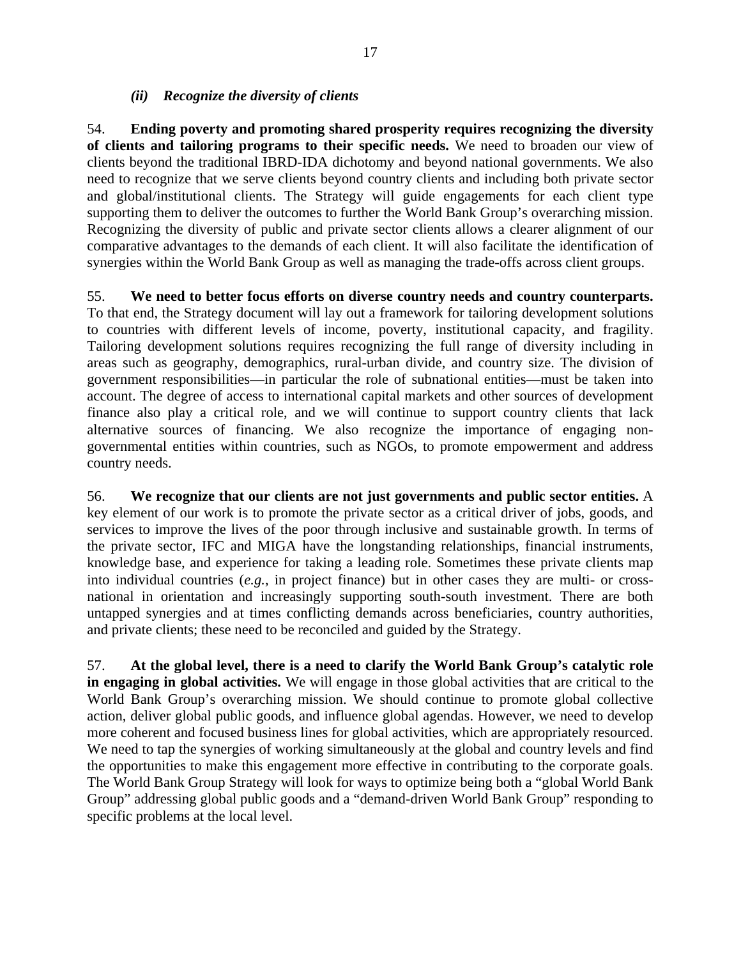#### *(ii) Recognize the diversity of clients*

54. **Ending poverty and promoting shared prosperity requires recognizing the diversity of clients and tailoring programs to their specific needs.** We need to broaden our view of clients beyond the traditional IBRD-IDA dichotomy and beyond national governments. We also need to recognize that we serve clients beyond country clients and including both private sector and global/institutional clients. The Strategy will guide engagements for each client type supporting them to deliver the outcomes to further the World Bank Group's overarching mission. Recognizing the diversity of public and private sector clients allows a clearer alignment of our comparative advantages to the demands of each client. It will also facilitate the identification of synergies within the World Bank Group as well as managing the trade-offs across client groups.

55. **We need to better focus efforts on diverse country needs and country counterparts.**  To that end, the Strategy document will lay out a framework for tailoring development solutions to countries with different levels of income, poverty, institutional capacity, and fragility. Tailoring development solutions requires recognizing the full range of diversity including in areas such as geography, demographics, rural-urban divide, and country size. The division of government responsibilities—in particular the role of subnational entities—must be taken into account. The degree of access to international capital markets and other sources of development finance also play a critical role, and we will continue to support country clients that lack alternative sources of financing. We also recognize the importance of engaging nongovernmental entities within countries, such as NGOs, to promote empowerment and address country needs.

56. **We recognize that our clients are not just governments and public sector entities.** A key element of our work is to promote the private sector as a critical driver of jobs, goods, and services to improve the lives of the poor through inclusive and sustainable growth. In terms of the private sector, IFC and MIGA have the longstanding relationships, financial instruments, knowledge base, and experience for taking a leading role. Sometimes these private clients map into individual countries (*e.g.*, in project finance) but in other cases they are multi- or crossnational in orientation and increasingly supporting south-south investment. There are both untapped synergies and at times conflicting demands across beneficiaries, country authorities, and private clients; these need to be reconciled and guided by the Strategy.

57. **At the global level, there is a need to clarify the World Bank Group's catalytic role in engaging in global activities.** We will engage in those global activities that are critical to the World Bank Group's overarching mission. We should continue to promote global collective action, deliver global public goods, and influence global agendas. However, we need to develop more coherent and focused business lines for global activities, which are appropriately resourced. We need to tap the synergies of working simultaneously at the global and country levels and find the opportunities to make this engagement more effective in contributing to the corporate goals. The World Bank Group Strategy will look for ways to optimize being both a "global World Bank Group" addressing global public goods and a "demand-driven World Bank Group" responding to specific problems at the local level.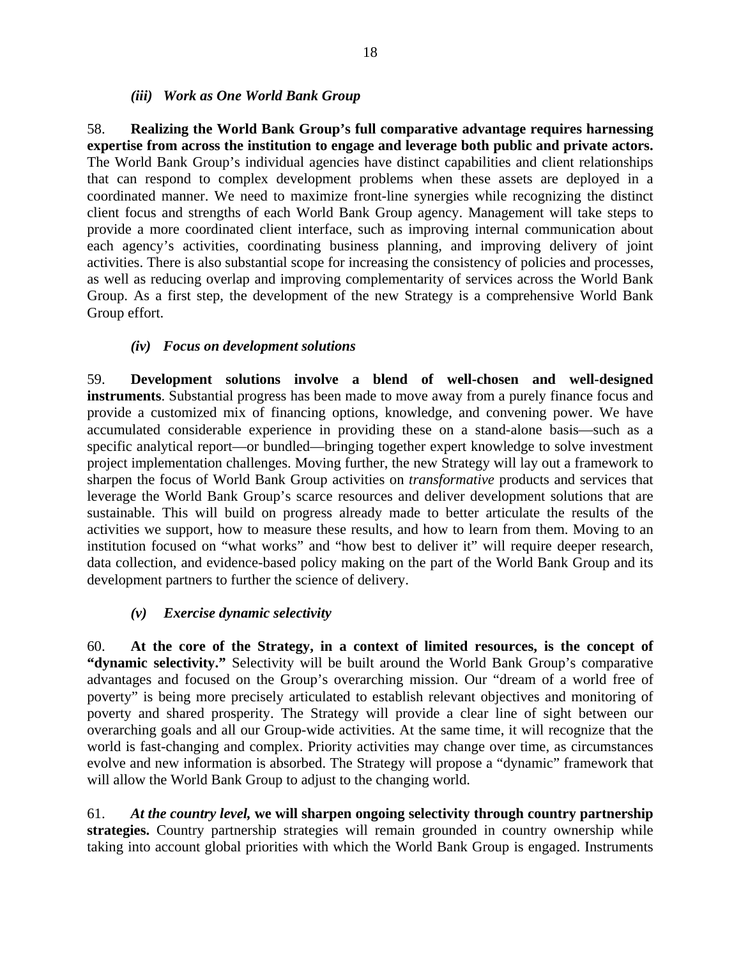#### *(iii) Work as One World Bank Group*

58. **Realizing the World Bank Group's full comparative advantage requires harnessing expertise from across the institution to engage and leverage both public and private actors.** The World Bank Group's individual agencies have distinct capabilities and client relationships that can respond to complex development problems when these assets are deployed in a coordinated manner. We need to maximize front-line synergies while recognizing the distinct client focus and strengths of each World Bank Group agency. Management will take steps to provide a more coordinated client interface, such as improving internal communication about each agency's activities, coordinating business planning, and improving delivery of joint activities. There is also substantial scope for increasing the consistency of policies and processes, as well as reducing overlap and improving complementarity of services across the World Bank Group. As a first step, the development of the new Strategy is a comprehensive World Bank Group effort.

#### *(iv) Focus on development solutions*

59. **Development solutions involve a blend of well-chosen and well-designed instruments**. Substantial progress has been made to move away from a purely finance focus and provide a customized mix of financing options, knowledge, and convening power. We have accumulated considerable experience in providing these on a stand-alone basis—such as a specific analytical report—or bundled—bringing together expert knowledge to solve investment project implementation challenges. Moving further, the new Strategy will lay out a framework to sharpen the focus of World Bank Group activities on *transformative* products and services that leverage the World Bank Group's scarce resources and deliver development solutions that are sustainable. This will build on progress already made to better articulate the results of the activities we support, how to measure these results, and how to learn from them. Moving to an institution focused on "what works" and "how best to deliver it" will require deeper research, data collection, and evidence-based policy making on the part of the World Bank Group and its development partners to further the science of delivery.

## *(v) Exercise dynamic selectivity*

60. **At the core of the Strategy, in a context of limited resources, is the concept of "dynamic selectivity."** Selectivity will be built around the World Bank Group's comparative advantages and focused on the Group's overarching mission. Our "dream of a world free of poverty" is being more precisely articulated to establish relevant objectives and monitoring of poverty and shared prosperity. The Strategy will provide a clear line of sight between our overarching goals and all our Group-wide activities. At the same time, it will recognize that the world is fast-changing and complex. Priority activities may change over time, as circumstances evolve and new information is absorbed. The Strategy will propose a "dynamic" framework that will allow the World Bank Group to adjust to the changing world.

61. *At the country level,* **we will sharpen ongoing selectivity through country partnership strategies.** Country partnership strategies will remain grounded in country ownership while taking into account global priorities with which the World Bank Group is engaged. Instruments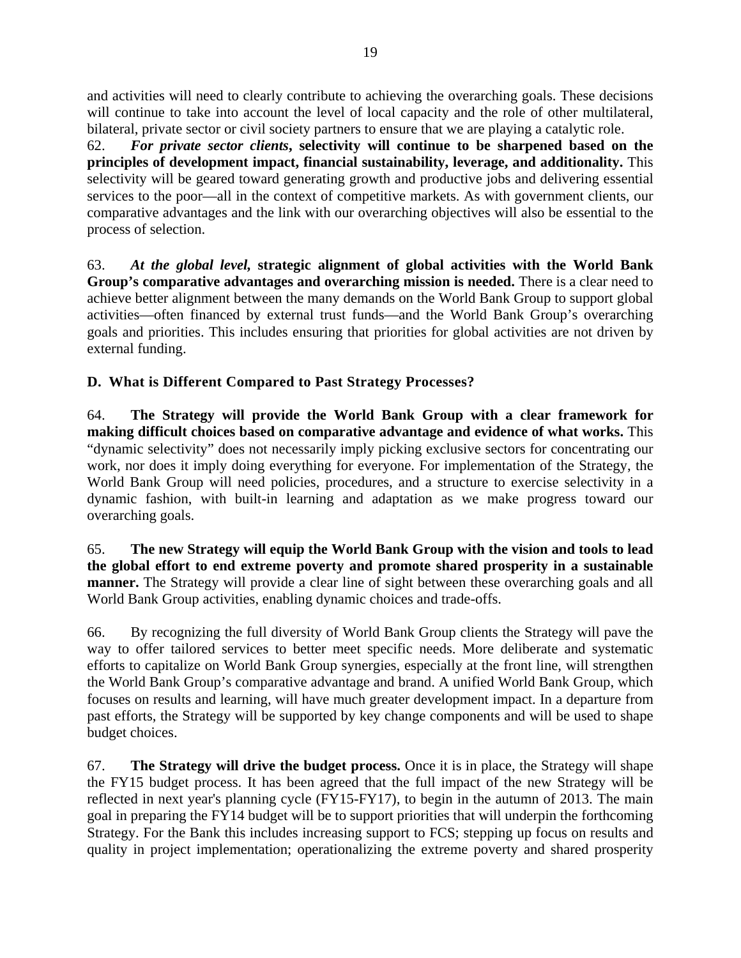and activities will need to clearly contribute to achieving the overarching goals. These decisions will continue to take into account the level of local capacity and the role of other multilateral, bilateral, private sector or civil society partners to ensure that we are playing a catalytic role.

62. *For private sector clients***, selectivity will continue to be sharpened based on the principles of development impact, financial sustainability, leverage, and additionality.** This selectivity will be geared toward generating growth and productive jobs and delivering essential services to the poor—all in the context of competitive markets. As with government clients, our comparative advantages and the link with our overarching objectives will also be essential to the process of selection.

63. *At the global level,* **strategic alignment of global activities with the World Bank Group's comparative advantages and overarching mission is needed.** There is a clear need to achieve better alignment between the many demands on the World Bank Group to support global activities—often financed by external trust funds—and the World Bank Group's overarching goals and priorities. This includes ensuring that priorities for global activities are not driven by external funding.

**D. What is Different Compared to Past Strategy Processes?** 

64. **The Strategy will provide the World Bank Group with a clear framework for making difficult choices based on comparative advantage and evidence of what works.** This "dynamic selectivity" does not necessarily imply picking exclusive sectors for concentrating our work, nor does it imply doing everything for everyone. For implementation of the Strategy, the World Bank Group will need policies, procedures, and a structure to exercise selectivity in a dynamic fashion, with built-in learning and adaptation as we make progress toward our overarching goals.

65. **The new Strategy will equip the World Bank Group with the vision and tools to lead the global effort to end extreme poverty and promote shared prosperity in a sustainable manner.** The Strategy will provide a clear line of sight between these overarching goals and all World Bank Group activities, enabling dynamic choices and trade-offs.

66. By recognizing the full diversity of World Bank Group clients the Strategy will pave the way to offer tailored services to better meet specific needs. More deliberate and systematic efforts to capitalize on World Bank Group synergies, especially at the front line, will strengthen the World Bank Group's comparative advantage and brand. A unified World Bank Group, which focuses on results and learning, will have much greater development impact. In a departure from past efforts, the Strategy will be supported by key change components and will be used to shape budget choices.

67. **The Strategy will drive the budget process.** Once it is in place, the Strategy will shape the FY15 budget process. It has been agreed that the full impact of the new Strategy will be reflected in next year's planning cycle (FY15-FY17), to begin in the autumn of 2013. The main goal in preparing the FY14 budget will be to support priorities that will underpin the forthcoming Strategy. For the Bank this includes increasing support to FCS; stepping up focus on results and quality in project implementation; operationalizing the extreme poverty and shared prosperity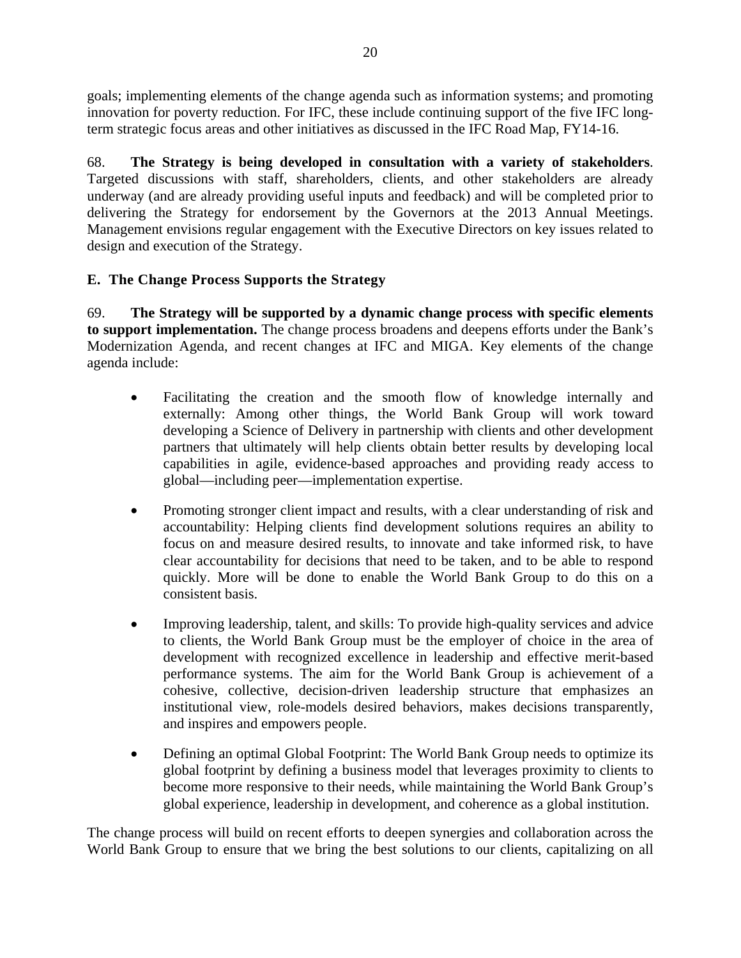goals; implementing elements of the change agenda such as information systems; and promoting innovation for poverty reduction. For IFC, these include continuing support of the five IFC longterm strategic focus areas and other initiatives as discussed in the IFC Road Map, FY14-16.

68. **The Strategy is being developed in consultation with a variety of stakeholders**. Targeted discussions with staff, shareholders, clients, and other stakeholders are already underway (and are already providing useful inputs and feedback) and will be completed prior to delivering the Strategy for endorsement by the Governors at the 2013 Annual Meetings. Management envisions regular engagement with the Executive Directors on key issues related to design and execution of the Strategy.

## **E. The Change Process Supports the Strategy**

69. **The Strategy will be supported by a dynamic change process with specific elements to support implementation.** The change process broadens and deepens efforts under the Bank's Modernization Agenda, and recent changes at IFC and MIGA. Key elements of the change agenda include:

- Facilitating the creation and the smooth flow of knowledge internally and externally: Among other things, the World Bank Group will work toward developing a Science of Delivery in partnership with clients and other development partners that ultimately will help clients obtain better results by developing local capabilities in agile, evidence-based approaches and providing ready access to global—including peer—implementation expertise.
- Promoting stronger client impact and results, with a clear understanding of risk and accountability: Helping clients find development solutions requires an ability to focus on and measure desired results, to innovate and take informed risk, to have clear accountability for decisions that need to be taken, and to be able to respond quickly. More will be done to enable the World Bank Group to do this on a consistent basis.
- Improving leadership, talent, and skills: To provide high-quality services and advice to clients, the World Bank Group must be the employer of choice in the area of development with recognized excellence in leadership and effective merit-based performance systems. The aim for the World Bank Group is achievement of a cohesive, collective, decision-driven leadership structure that emphasizes an institutional view, role-models desired behaviors, makes decisions transparently, and inspires and empowers people.
- Defining an optimal Global Footprint: The World Bank Group needs to optimize its global footprint by defining a business model that leverages proximity to clients to become more responsive to their needs, while maintaining the World Bank Group's global experience, leadership in development, and coherence as a global institution.

The change process will build on recent efforts to deepen synergies and collaboration across the World Bank Group to ensure that we bring the best solutions to our clients, capitalizing on all